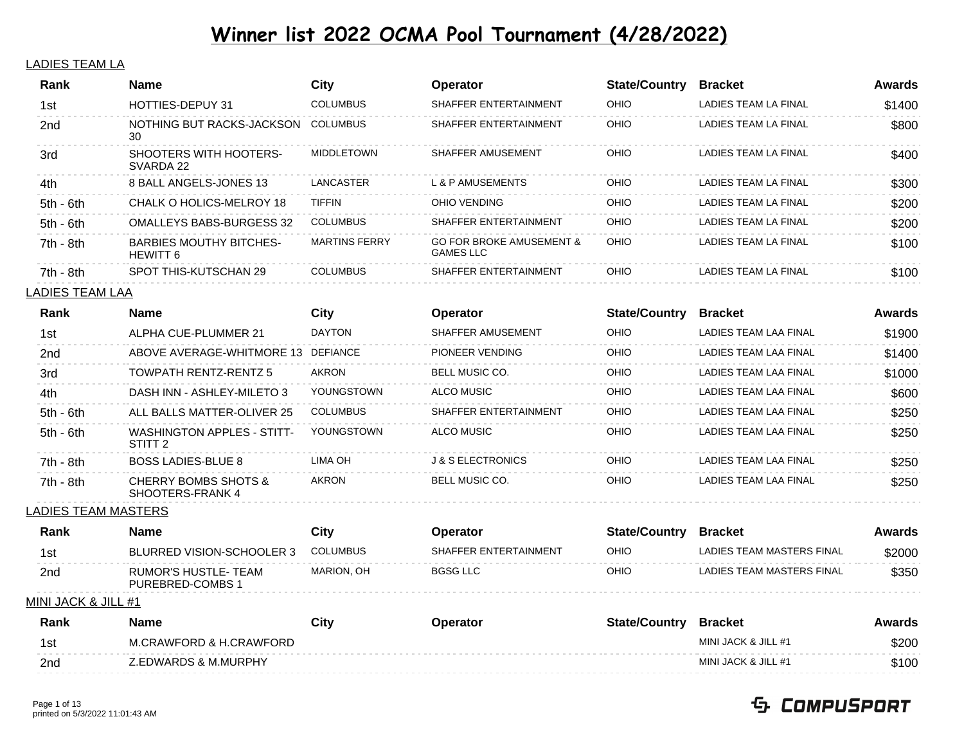#### LADIES TEAM LA

| Rank                       | <b>Name</b>                                         | <b>City</b>          | <b>Operator</b>                                         | <b>State/Country</b> | <b>Bracket</b>            | <b>Awards</b> |
|----------------------------|-----------------------------------------------------|----------------------|---------------------------------------------------------|----------------------|---------------------------|---------------|
| 1st                        | HOTTIES-DEPUY 31                                    | <b>COLUMBUS</b>      | SHAFFER ENTERTAINMENT                                   | OHIO                 | LADIES TEAM LA FINAL      | \$1400        |
| 2nd                        | NOTHING BUT RACKS-JACKSON<br>30                     | <b>COLUMBUS</b>      | SHAFFER ENTERTAINMENT                                   | OHIO                 | LADIES TEAM LA FINAL      | \$800         |
| 3rd                        | SHOOTERS WITH HOOTERS-<br>SVARDA 22                 | <b>MIDDLETOWN</b>    | SHAFFER AMUSEMENT                                       | OHIO                 | LADIES TEAM LA FINAL      | \$400         |
| 4th.                       | 8 BALL ANGELS-JONES 13                              | <b>LANCASTER</b>     | <b>L &amp; P AMUSEMENTS</b>                             | OHIO                 | LADIES TEAM LA FINAL      | \$300         |
| 5th - 6th                  | CHALK O HOLICS-MELROY 18                            | <b>TIFFIN</b>        | OHIO VENDING                                            | OHIO                 | LADIES TEAM LA FINAL      | \$200         |
| 5th - 6th                  | <b>OMALLEYS BABS-BURGESS 32</b>                     | <b>COLUMBUS</b>      | SHAFFER ENTERTAINMENT                                   | OHIO                 | LADIES TEAM LA FINAL      | \$200         |
| 7th - 8th                  | <b>BARBIES MOUTHY BITCHES-</b><br><b>HEWITT 6</b>   | <b>MARTINS FERRY</b> | <b>GO FOR BROKE AMUSEMENT &amp;</b><br><b>GAMES LLC</b> | OHIO                 | LADIES TEAM LA FINAL      | \$100         |
| 7th - 8th                  | SPOT THIS-KUTSCHAN 29                               | <b>COLUMBUS</b>      | SHAFFER ENTERTAINMENT                                   | OHIO                 | LADIES TEAM LA FINAL      | \$100         |
| LADIES TEAM LAA            |                                                     |                      |                                                         |                      |                           |               |
| Rank                       | <b>Name</b>                                         | City                 | Operator                                                | <b>State/Country</b> | <b>Bracket</b>            | Awards        |
| 1st                        | ALPHA CUE-PLUMMER 21                                | <b>DAYTON</b>        | SHAFFER AMUSEMENT                                       | OHIO                 | LADIES TEAM LAA FINAL     | \$1900        |
| 2nd                        | ABOVE AVERAGE-WHITMORE 13 DEFIANCE                  |                      | PIONEER VENDING                                         | OHIO                 | LADIES TEAM LAA FINAL     | \$1400        |
| 3rd                        | <b>TOWPATH RENTZ-RENTZ 5</b>                        | <b>AKRON</b>         | BELL MUSIC CO.                                          | OHIO                 | LADIES TEAM LAA FINAL     | \$1000        |
| 4th                        | DASH INN - ASHLEY-MILETO 3                          | YOUNGSTOWN           | <b>ALCO MUSIC</b>                                       | OHIO                 | LADIES TEAM LAA FINAL     | \$600         |
| 5th - 6th                  | ALL BALLS MATTER-OLIVER 25                          | <b>COLUMBUS</b>      | SHAFFER ENTERTAINMENT                                   | OHIO                 | LADIES TEAM LAA FINAL     | \$250         |
| 5th - 6th                  | WASHINGTON APPLES - STITT-<br>STITT <sub>2</sub>    | YOUNGSTOWN           | ALCO MUSIC                                              | OHIO                 | LADIES TEAM LAA FINAL     | \$250         |
| 7th - 8th                  | <b>BOSS LADIES-BLUE 8</b>                           | LIMA OH              | <b>J &amp; S ELECTRONICS</b>                            | OHIO                 | LADIES TEAM LAA FINAL     | \$250         |
| 7th - 8th                  | <b>CHERRY BOMBS SHOTS &amp;</b><br>SHOOTERS-FRANK 4 | AKRON                | BELL MUSIC CO.                                          | OHIO                 | LADIES TEAM LAA FINAL     | \$250         |
| <u>LADIES TEAM MASTERS</u> |                                                     |                      |                                                         |                      |                           |               |
| Rank                       | <b>Name</b>                                         | <b>City</b>          | Operator                                                | <b>State/Country</b> | <b>Bracket</b>            | Awards        |
| 1st                        | <b>BLURRED VISION-SCHOOLER 3</b>                    | <b>COLUMBUS</b>      | SHAFFER ENTERTAINMENT                                   | OHIO                 | LADIES TEAM MASTERS FINAL | \$2000        |
| 2nd                        | <b>RUMOR'S HUSTLE- TEAM</b><br>PUREBRED-COMBS 1     | MARION, OH           | <b>BGSG LLC</b>                                         | OHIO                 | LADIES TEAM MASTERS FINAL | \$350         |
| MINI JACK & JILL #1        |                                                     |                      |                                                         |                      |                           |               |
| Rank                       | <b>Name</b>                                         | <b>City</b>          | Operator                                                | <b>State/Country</b> | <b>Bracket</b>            | Awards        |
| 1st                        | M.CRAWFORD & H.CRAWFORD                             |                      |                                                         |                      | MINI JACK & JILL #1       | \$200         |
| 2nd                        | Z.EDWARDS & M.MURPHY                                |                      |                                                         |                      | MINI JACK & JILL #1       | \$100         |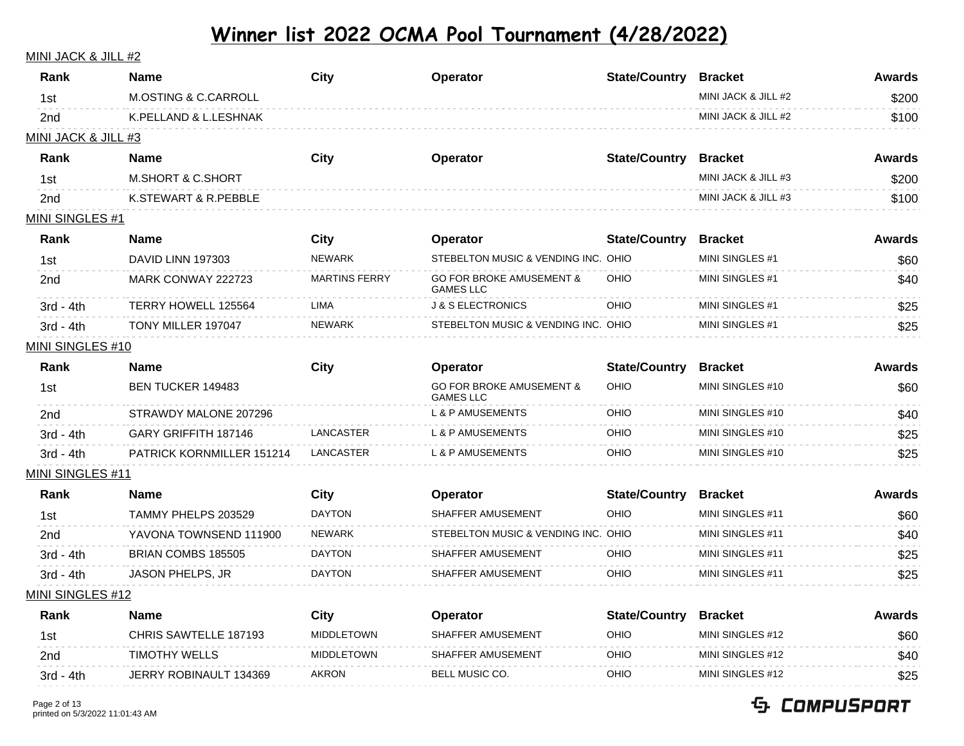#### MINI JACK & JILL #2

| <b>M.OSTING &amp; C.CARROLL</b><br>MINI JACK & JILL #2<br>\$200<br>1st<br>MINI JACK & JILL #2<br>K.PELLAND & L.LESHNAK<br>\$100<br>2 <sub>nd</sub><br>MINI JACK & JILL #3<br><b>City</b><br><b>State/Country</b><br>Rank<br><b>Awards</b><br>Name<br>Operator<br><b>Bracket</b><br>MINI JACK & JILL #3<br><b>M.SHORT &amp; C.SHORT</b><br>1st<br>\$200<br>MINI JACK & JILL #3<br>2 <sub>nd</sub><br>K.STEWART & R.PEBBLE<br>\$100<br><b>MINI SINGLES #1</b><br><b>State/Country</b><br>Rank<br><b>City</b><br><b>Bracket</b><br><b>Awards</b><br>Name<br>Operator<br>STEBELTON MUSIC & VENDING INC. OHIO<br><b>NEWARK</b><br>MINI SINGLES #1<br>DAVID LINN 197303<br>1st<br>\$60<br><b>GO FOR BROKE AMUSEMENT &amp;</b><br><b>MARTINS FERRY</b><br>OHIO<br>MINI SINGLES #1<br>MARK CONWAY 222723<br>\$40<br>2nd<br><b>GAMES LLC</b><br>TERRY HOWELL 125564<br><b>LIMA</b><br><b>J &amp; S ELECTRONICS</b><br>OHIO<br>MINI SINGLES #1<br>\$25<br>$3rd - 4th$<br>STEBELTON MUSIC & VENDING INC. OHIO<br><b>NEWARK</b><br>MINI SINGLES #1<br>\$25<br>$3rd - 4th$<br>TONY MILLER 197047<br>MINI SINGLES #10<br>Rank<br>City<br><b>State/Country</b><br><b>Awards</b><br>Name<br>Operator<br><b>Bracket</b><br><b>GO FOR BROKE AMUSEMENT &amp;</b><br>OHIO<br>MINI SINGLES #10<br>BEN TUCKER 149483<br>\$60<br>1st<br><b>GAMES LLC</b><br><b>L &amp; P AMUSEMENTS</b><br>STRAWDY MALONE 207296<br>OHIO<br>MINI SINGLES #10<br>\$40<br>2 <sub>nd</sub><br><b>L &amp; P AMUSEMENTS</b><br>$3rd - 4th$<br>GARY GRIFFITH 187146<br>LANCASTER<br>OHIO<br>MINI SINGLES #10<br>\$25<br>PATRICK KORNMILLER 151214<br>LANCASTER<br><b>L &amp; P AMUSEMENTS</b><br>OHIO<br>MINI SINGLES #10<br>$3rd - 4th$<br>\$25<br>MINI SINGLES #11<br><b>State/Country</b><br>Rank<br>Name<br>City<br>Operator<br><b>Bracket</b><br><b>Awards</b><br>TAMMY PHELPS 203529<br><b>DAYTON</b><br>SHAFFER AMUSEMENT<br>OHIO<br>MINI SINGLES #11<br>\$60<br>1st<br>STEBELTON MUSIC & VENDING INC. OHIO<br>YAVONA TOWNSEND 111900<br><b>NEWARK</b><br>MINI SINGLES #11<br>\$40<br>2nd<br>BRIAN COMBS 185505<br>SHAFFER AMUSEMENT<br>OHIO<br>MINI SINGLES #11<br><b>DAYTON</b><br>\$25<br>$3rd - 4th$<br><b>JASON PHELPS, JR</b><br><b>DAYTON</b><br>SHAFFER AMUSEMENT<br>OHIO<br>MINI SINGLES #11<br>\$25<br>$3rd - 4th$<br>MINI SINGLES #12<br><b>State/Country</b><br>Rank<br><b>City</b><br><b>Awards</b><br>Name<br>Operator<br><b>Bracket</b><br>OHIO<br><b>MIDDLETOWN</b><br>SHAFFER AMUSEMENT<br>MINI SINGLES #12<br>CHRIS SAWTELLE 187193<br>\$60<br>1st<br><b>TIMOTHY WELLS</b><br>MINI SINGLES #12<br><b>MIDDLETOWN</b><br>SHAFFER AMUSEMENT<br>OHIO<br>\$40<br>2 <sub>nd</sub><br>BELL MUSIC CO.<br>JERRY ROBINAULT 134369<br><b>AKRON</b><br>OHIO<br>MINI SINGLES #12<br>\$25<br>3rd - 4th | Rank | Name | City | Operator | <b>State/Country</b> | <b>Bracket</b> | <b>Awards</b> |
|----------------------------------------------------------------------------------------------------------------------------------------------------------------------------------------------------------------------------------------------------------------------------------------------------------------------------------------------------------------------------------------------------------------------------------------------------------------------------------------------------------------------------------------------------------------------------------------------------------------------------------------------------------------------------------------------------------------------------------------------------------------------------------------------------------------------------------------------------------------------------------------------------------------------------------------------------------------------------------------------------------------------------------------------------------------------------------------------------------------------------------------------------------------------------------------------------------------------------------------------------------------------------------------------------------------------------------------------------------------------------------------------------------------------------------------------------------------------------------------------------------------------------------------------------------------------------------------------------------------------------------------------------------------------------------------------------------------------------------------------------------------------------------------------------------------------------------------------------------------------------------------------------------------------------------------------------------------------------------------------------------------------------------------------------------------------------------------------------------------------------------------------------------------------------------------------------------------------------------------------------------------------------------------------------------------------------------------------------------------------------------------------------------------------------------------------------------------------------------------------------------------------------------------------------------------------------------------------------------------------------------------------------------------------------------------------------------------------------------------------------------------------|------|------|------|----------|----------------------|----------------|---------------|
|                                                                                                                                                                                                                                                                                                                                                                                                                                                                                                                                                                                                                                                                                                                                                                                                                                                                                                                                                                                                                                                                                                                                                                                                                                                                                                                                                                                                                                                                                                                                                                                                                                                                                                                                                                                                                                                                                                                                                                                                                                                                                                                                                                                                                                                                                                                                                                                                                                                                                                                                                                                                                                                                                                                                                                      |      |      |      |          |                      |                |               |
|                                                                                                                                                                                                                                                                                                                                                                                                                                                                                                                                                                                                                                                                                                                                                                                                                                                                                                                                                                                                                                                                                                                                                                                                                                                                                                                                                                                                                                                                                                                                                                                                                                                                                                                                                                                                                                                                                                                                                                                                                                                                                                                                                                                                                                                                                                                                                                                                                                                                                                                                                                                                                                                                                                                                                                      |      |      |      |          |                      |                |               |
|                                                                                                                                                                                                                                                                                                                                                                                                                                                                                                                                                                                                                                                                                                                                                                                                                                                                                                                                                                                                                                                                                                                                                                                                                                                                                                                                                                                                                                                                                                                                                                                                                                                                                                                                                                                                                                                                                                                                                                                                                                                                                                                                                                                                                                                                                                                                                                                                                                                                                                                                                                                                                                                                                                                                                                      |      |      |      |          |                      |                |               |
|                                                                                                                                                                                                                                                                                                                                                                                                                                                                                                                                                                                                                                                                                                                                                                                                                                                                                                                                                                                                                                                                                                                                                                                                                                                                                                                                                                                                                                                                                                                                                                                                                                                                                                                                                                                                                                                                                                                                                                                                                                                                                                                                                                                                                                                                                                                                                                                                                                                                                                                                                                                                                                                                                                                                                                      |      |      |      |          |                      |                |               |
|                                                                                                                                                                                                                                                                                                                                                                                                                                                                                                                                                                                                                                                                                                                                                                                                                                                                                                                                                                                                                                                                                                                                                                                                                                                                                                                                                                                                                                                                                                                                                                                                                                                                                                                                                                                                                                                                                                                                                                                                                                                                                                                                                                                                                                                                                                                                                                                                                                                                                                                                                                                                                                                                                                                                                                      |      |      |      |          |                      |                |               |
|                                                                                                                                                                                                                                                                                                                                                                                                                                                                                                                                                                                                                                                                                                                                                                                                                                                                                                                                                                                                                                                                                                                                                                                                                                                                                                                                                                                                                                                                                                                                                                                                                                                                                                                                                                                                                                                                                                                                                                                                                                                                                                                                                                                                                                                                                                                                                                                                                                                                                                                                                                                                                                                                                                                                                                      |      |      |      |          |                      |                |               |
|                                                                                                                                                                                                                                                                                                                                                                                                                                                                                                                                                                                                                                                                                                                                                                                                                                                                                                                                                                                                                                                                                                                                                                                                                                                                                                                                                                                                                                                                                                                                                                                                                                                                                                                                                                                                                                                                                                                                                                                                                                                                                                                                                                                                                                                                                                                                                                                                                                                                                                                                                                                                                                                                                                                                                                      |      |      |      |          |                      |                |               |
|                                                                                                                                                                                                                                                                                                                                                                                                                                                                                                                                                                                                                                                                                                                                                                                                                                                                                                                                                                                                                                                                                                                                                                                                                                                                                                                                                                                                                                                                                                                                                                                                                                                                                                                                                                                                                                                                                                                                                                                                                                                                                                                                                                                                                                                                                                                                                                                                                                                                                                                                                                                                                                                                                                                                                                      |      |      |      |          |                      |                |               |
|                                                                                                                                                                                                                                                                                                                                                                                                                                                                                                                                                                                                                                                                                                                                                                                                                                                                                                                                                                                                                                                                                                                                                                                                                                                                                                                                                                                                                                                                                                                                                                                                                                                                                                                                                                                                                                                                                                                                                                                                                                                                                                                                                                                                                                                                                                                                                                                                                                                                                                                                                                                                                                                                                                                                                                      |      |      |      |          |                      |                |               |
|                                                                                                                                                                                                                                                                                                                                                                                                                                                                                                                                                                                                                                                                                                                                                                                                                                                                                                                                                                                                                                                                                                                                                                                                                                                                                                                                                                                                                                                                                                                                                                                                                                                                                                                                                                                                                                                                                                                                                                                                                                                                                                                                                                                                                                                                                                                                                                                                                                                                                                                                                                                                                                                                                                                                                                      |      |      |      |          |                      |                |               |
|                                                                                                                                                                                                                                                                                                                                                                                                                                                                                                                                                                                                                                                                                                                                                                                                                                                                                                                                                                                                                                                                                                                                                                                                                                                                                                                                                                                                                                                                                                                                                                                                                                                                                                                                                                                                                                                                                                                                                                                                                                                                                                                                                                                                                                                                                                                                                                                                                                                                                                                                                                                                                                                                                                                                                                      |      |      |      |          |                      |                |               |
|                                                                                                                                                                                                                                                                                                                                                                                                                                                                                                                                                                                                                                                                                                                                                                                                                                                                                                                                                                                                                                                                                                                                                                                                                                                                                                                                                                                                                                                                                                                                                                                                                                                                                                                                                                                                                                                                                                                                                                                                                                                                                                                                                                                                                                                                                                                                                                                                                                                                                                                                                                                                                                                                                                                                                                      |      |      |      |          |                      |                |               |
|                                                                                                                                                                                                                                                                                                                                                                                                                                                                                                                                                                                                                                                                                                                                                                                                                                                                                                                                                                                                                                                                                                                                                                                                                                                                                                                                                                                                                                                                                                                                                                                                                                                                                                                                                                                                                                                                                                                                                                                                                                                                                                                                                                                                                                                                                                                                                                                                                                                                                                                                                                                                                                                                                                                                                                      |      |      |      |          |                      |                |               |
|                                                                                                                                                                                                                                                                                                                                                                                                                                                                                                                                                                                                                                                                                                                                                                                                                                                                                                                                                                                                                                                                                                                                                                                                                                                                                                                                                                                                                                                                                                                                                                                                                                                                                                                                                                                                                                                                                                                                                                                                                                                                                                                                                                                                                                                                                                                                                                                                                                                                                                                                                                                                                                                                                                                                                                      |      |      |      |          |                      |                |               |
|                                                                                                                                                                                                                                                                                                                                                                                                                                                                                                                                                                                                                                                                                                                                                                                                                                                                                                                                                                                                                                                                                                                                                                                                                                                                                                                                                                                                                                                                                                                                                                                                                                                                                                                                                                                                                                                                                                                                                                                                                                                                                                                                                                                                                                                                                                                                                                                                                                                                                                                                                                                                                                                                                                                                                                      |      |      |      |          |                      |                |               |
|                                                                                                                                                                                                                                                                                                                                                                                                                                                                                                                                                                                                                                                                                                                                                                                                                                                                                                                                                                                                                                                                                                                                                                                                                                                                                                                                                                                                                                                                                                                                                                                                                                                                                                                                                                                                                                                                                                                                                                                                                                                                                                                                                                                                                                                                                                                                                                                                                                                                                                                                                                                                                                                                                                                                                                      |      |      |      |          |                      |                |               |
|                                                                                                                                                                                                                                                                                                                                                                                                                                                                                                                                                                                                                                                                                                                                                                                                                                                                                                                                                                                                                                                                                                                                                                                                                                                                                                                                                                                                                                                                                                                                                                                                                                                                                                                                                                                                                                                                                                                                                                                                                                                                                                                                                                                                                                                                                                                                                                                                                                                                                                                                                                                                                                                                                                                                                                      |      |      |      |          |                      |                |               |
|                                                                                                                                                                                                                                                                                                                                                                                                                                                                                                                                                                                                                                                                                                                                                                                                                                                                                                                                                                                                                                                                                                                                                                                                                                                                                                                                                                                                                                                                                                                                                                                                                                                                                                                                                                                                                                                                                                                                                                                                                                                                                                                                                                                                                                                                                                                                                                                                                                                                                                                                                                                                                                                                                                                                                                      |      |      |      |          |                      |                |               |
|                                                                                                                                                                                                                                                                                                                                                                                                                                                                                                                                                                                                                                                                                                                                                                                                                                                                                                                                                                                                                                                                                                                                                                                                                                                                                                                                                                                                                                                                                                                                                                                                                                                                                                                                                                                                                                                                                                                                                                                                                                                                                                                                                                                                                                                                                                                                                                                                                                                                                                                                                                                                                                                                                                                                                                      |      |      |      |          |                      |                |               |
|                                                                                                                                                                                                                                                                                                                                                                                                                                                                                                                                                                                                                                                                                                                                                                                                                                                                                                                                                                                                                                                                                                                                                                                                                                                                                                                                                                                                                                                                                                                                                                                                                                                                                                                                                                                                                                                                                                                                                                                                                                                                                                                                                                                                                                                                                                                                                                                                                                                                                                                                                                                                                                                                                                                                                                      |      |      |      |          |                      |                |               |
|                                                                                                                                                                                                                                                                                                                                                                                                                                                                                                                                                                                                                                                                                                                                                                                                                                                                                                                                                                                                                                                                                                                                                                                                                                                                                                                                                                                                                                                                                                                                                                                                                                                                                                                                                                                                                                                                                                                                                                                                                                                                                                                                                                                                                                                                                                                                                                                                                                                                                                                                                                                                                                                                                                                                                                      |      |      |      |          |                      |                |               |
|                                                                                                                                                                                                                                                                                                                                                                                                                                                                                                                                                                                                                                                                                                                                                                                                                                                                                                                                                                                                                                                                                                                                                                                                                                                                                                                                                                                                                                                                                                                                                                                                                                                                                                                                                                                                                                                                                                                                                                                                                                                                                                                                                                                                                                                                                                                                                                                                                                                                                                                                                                                                                                                                                                                                                                      |      |      |      |          |                      |                |               |
|                                                                                                                                                                                                                                                                                                                                                                                                                                                                                                                                                                                                                                                                                                                                                                                                                                                                                                                                                                                                                                                                                                                                                                                                                                                                                                                                                                                                                                                                                                                                                                                                                                                                                                                                                                                                                                                                                                                                                                                                                                                                                                                                                                                                                                                                                                                                                                                                                                                                                                                                                                                                                                                                                                                                                                      |      |      |      |          |                      |                |               |
|                                                                                                                                                                                                                                                                                                                                                                                                                                                                                                                                                                                                                                                                                                                                                                                                                                                                                                                                                                                                                                                                                                                                                                                                                                                                                                                                                                                                                                                                                                                                                                                                                                                                                                                                                                                                                                                                                                                                                                                                                                                                                                                                                                                                                                                                                                                                                                                                                                                                                                                                                                                                                                                                                                                                                                      |      |      |      |          |                      |                |               |
|                                                                                                                                                                                                                                                                                                                                                                                                                                                                                                                                                                                                                                                                                                                                                                                                                                                                                                                                                                                                                                                                                                                                                                                                                                                                                                                                                                                                                                                                                                                                                                                                                                                                                                                                                                                                                                                                                                                                                                                                                                                                                                                                                                                                                                                                                                                                                                                                                                                                                                                                                                                                                                                                                                                                                                      |      |      |      |          |                      |                |               |
|                                                                                                                                                                                                                                                                                                                                                                                                                                                                                                                                                                                                                                                                                                                                                                                                                                                                                                                                                                                                                                                                                                                                                                                                                                                                                                                                                                                                                                                                                                                                                                                                                                                                                                                                                                                                                                                                                                                                                                                                                                                                                                                                                                                                                                                                                                                                                                                                                                                                                                                                                                                                                                                                                                                                                                      |      |      |      |          |                      |                |               |
|                                                                                                                                                                                                                                                                                                                                                                                                                                                                                                                                                                                                                                                                                                                                                                                                                                                                                                                                                                                                                                                                                                                                                                                                                                                                                                                                                                                                                                                                                                                                                                                                                                                                                                                                                                                                                                                                                                                                                                                                                                                                                                                                                                                                                                                                                                                                                                                                                                                                                                                                                                                                                                                                                                                                                                      |      |      |      |          |                      |                |               |
|                                                                                                                                                                                                                                                                                                                                                                                                                                                                                                                                                                                                                                                                                                                                                                                                                                                                                                                                                                                                                                                                                                                                                                                                                                                                                                                                                                                                                                                                                                                                                                                                                                                                                                                                                                                                                                                                                                                                                                                                                                                                                                                                                                                                                                                                                                                                                                                                                                                                                                                                                                                                                                                                                                                                                                      |      |      |      |          |                      |                |               |
|                                                                                                                                                                                                                                                                                                                                                                                                                                                                                                                                                                                                                                                                                                                                                                                                                                                                                                                                                                                                                                                                                                                                                                                                                                                                                                                                                                                                                                                                                                                                                                                                                                                                                                                                                                                                                                                                                                                                                                                                                                                                                                                                                                                                                                                                                                                                                                                                                                                                                                                                                                                                                                                                                                                                                                      |      |      |      |          |                      |                |               |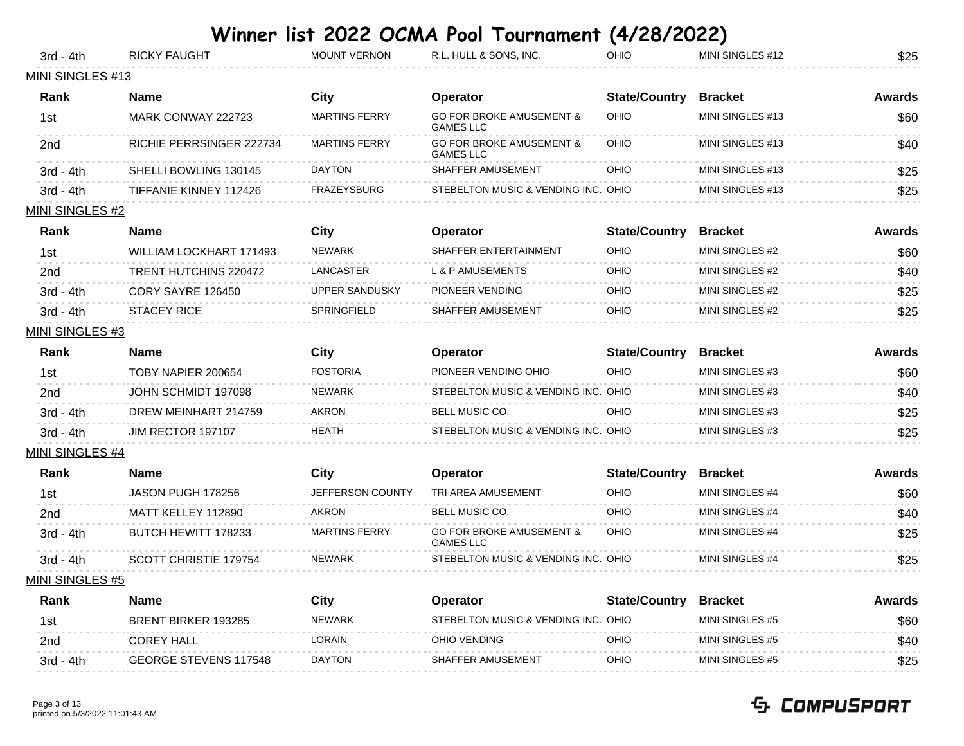| 3rd - 4th              | <b>RICKY FAUGHT</b>          | <b>MOUNT VERNON</b>   | R.L. HULL & SONS, INC.                                  | OHIO                 | MINI SINGLES #12 | \$25          |
|------------------------|------------------------------|-----------------------|---------------------------------------------------------|----------------------|------------------|---------------|
| MINI SINGLES #13       |                              |                       |                                                         |                      |                  |               |
| Rank                   | <b>Name</b>                  | City                  | Operator                                                | <b>State/Country</b> | <b>Bracket</b>   | Awards        |
| 1st                    | MARK CONWAY 222723           | <b>MARTINS FERRY</b>  | <b>GO FOR BROKE AMUSEMENT &amp;</b><br><b>GAMES LLC</b> | OHIO                 | MINI SINGLES #13 | \$60          |
| 2nd                    | RICHIE PERRSINGER 222734     | <b>MARTINS FERRY</b>  | <b>GO FOR BROKE AMUSEMENT &amp;</b><br><b>GAMES LLC</b> | OHIO                 | MINI SINGLES #13 | \$40          |
| 3rd - 4th              | SHELLI BOWLING 130145        | <b>DAYTON</b>         | SHAFFER AMUSEMENT                                       | OHIO                 | MINI SINGLES #13 | \$25          |
| 3rd - 4th              | TIFFANIE KINNEY 112426       | <b>FRAZEYSBURG</b>    | STEBELTON MUSIC & VENDING INC. OHIO                     |                      | MINI SINGLES #13 | \$25          |
| MINI SINGLES #2        |                              |                       |                                                         |                      |                  |               |
| Rank                   | <b>Name</b>                  | City                  | Operator                                                | <b>State/Country</b> | <b>Bracket</b>   | Awards        |
| 1st                    | WILLIAM LOCKHART 171493      | <b>NEWARK</b>         | SHAFFER ENTERTAINMENT                                   | OHIO                 | MINI SINGLES #2  | \$60          |
| 2 <sub>nd</sub>        | TRENT HUTCHINS 220472        | LANCASTER             | L & P AMUSEMENTS                                        | OHIO                 | MINI SINGLES #2  | \$40          |
| 3rd - 4th              | CORY SAYRE 126450            | <b>UPPER SANDUSKY</b> | PIONEER VENDING                                         | OHIO                 | MINI SINGLES #2  | \$25          |
| $3rd - 4th$            | <b>STACEY RICE</b>           | SPRINGFIELD           | SHAFFER AMUSEMENT                                       | OHIO                 | MINI SINGLES #2  | \$25          |
| <b>MINI SINGLES #3</b> |                              |                       |                                                         |                      |                  |               |
| Rank                   | <b>Name</b>                  | <b>City</b>           | Operator                                                | <b>State/Country</b> | <b>Bracket</b>   | <b>Awards</b> |
| 1st                    | TOBY NAPIER 200654           | <b>FOSTORIA</b>       | PIONEER VENDING OHIO                                    | OHIO                 | MINI SINGLES #3  | \$60          |
| 2nd                    | JOHN SCHMIDT 197098          | <b>NEWARK</b>         | STEBELTON MUSIC & VENDING INC. OHIO                     |                      | MINI SINGLES #3  | \$40          |
| $3rd - 4th$            | DREW MEINHART 214759         | <b>AKRON</b>          | BELL MUSIC CO.                                          | OHIO                 | MINI SINGLES #3  | \$25          |
| $3rd - 4th$            | <b>JIM RECTOR 197107</b>     | <b>HEATH</b>          | STEBELTON MUSIC & VENDING INC. OHIO                     |                      | MINI SINGLES #3  | \$25          |
| MINI SINGLES #4        |                              |                       |                                                         |                      |                  |               |
| Rank                   | <b>Name</b>                  | <b>City</b>           | <b>Operator</b>                                         | <b>State/Country</b> | <b>Bracket</b>   | <b>Awards</b> |
| 1st                    | JASON PUGH 178256            | JEFFERSON COUNTY      | TRI AREA AMUSEMENT                                      | OHIO                 | MINI SINGLES #4  | \$60          |
| 2nd                    | MATT KELLEY 112890           | <b>AKRON</b>          | BELL MUSIC CO.                                          | OHIO                 | MINI SINGLES #4  | \$40          |
| 3rd - 4th              | BUTCH HEWITT 178233          | <b>MARTINS FERRY</b>  | <b>GO FOR BROKE AMUSEMENT &amp;</b><br><b>GAMES LLC</b> | OHIO                 | MINI SINGLES #4  | \$25          |
| 3rd - 4th              | SCOTT CHRISTIE 179754        | <b>NEWARK</b>         | STEBELTON MUSIC & VENDING INC. OHIO                     |                      | MINI SINGLES #4  | \$25          |
| <b>MINI SINGLES #5</b> |                              |                       |                                                         |                      |                  |               |
| Rank                   | <b>Name</b>                  | <b>City</b>           | <b>Operator</b>                                         | <b>State/Country</b> | <b>Bracket</b>   | <b>Awards</b> |
| 1st                    | <b>BRENT BIRKER 193285</b>   | <b>NEWARK</b>         | STEBELTON MUSIC & VENDING INC. OHIO                     |                      | MINI SINGLES #5  | \$60          |
| 2nd                    | <b>COREY HALL</b>            | <b>LORAIN</b>         | OHIO VENDING                                            | OHIO                 | MINI SINGLES #5  | \$40          |
| 3rd - 4th              | <b>GEORGE STEVENS 117548</b> | <b>DAYTON</b>         | SHAFFER AMUSEMENT                                       | OHIO                 | MINI SINGLES #5  | \$25          |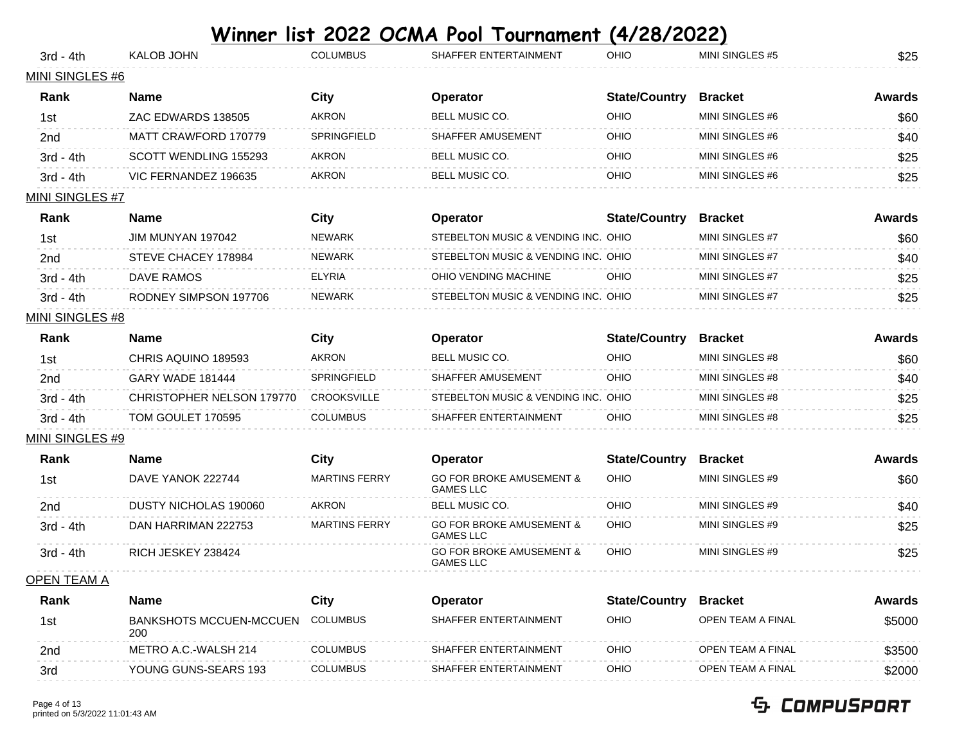| 3rd - 4th              | <b>KALOB JOHN</b>            | <b>COLUMBUS</b>      | SHAFFER ENTERTAINMENT                                   | OHIO                 | MINI SINGLES #5 | \$25          |
|------------------------|------------------------------|----------------------|---------------------------------------------------------|----------------------|-----------------|---------------|
| MINI SINGLES #6        |                              |                      |                                                         |                      |                 |               |
| Rank                   | <b>Name</b>                  | City                 | Operator                                                | <b>State/Country</b> | <b>Bracket</b>  | <b>Awards</b> |
| 1st                    | ZAC EDWARDS 138505           | <b>AKRON</b>         | BELL MUSIC CO.                                          | OHIO                 | MINI SINGLES #6 | \$60          |
| 2 <sub>nd</sub>        | MATT CRAWFORD 170779         | SPRINGFIELD          | <b>SHAFFER AMUSEMENT</b>                                | OHIO                 | MINI SINGLES #6 | \$40          |
| $3rd - 4th$            | SCOTT WENDLING 155293        | <b>AKRON</b>         | BELL MUSIC CO.                                          | OHIO                 | MINI SINGLES #6 | \$25          |
| $3rd - 4th$            | VIC FERNANDEZ 196635         | <b>AKRON</b>         | BELL MUSIC CO.                                          | OHIO                 | MINI SINGLES #6 | \$25          |
| <b>MINI SINGLES #7</b> |                              |                      |                                                         |                      |                 |               |
| Rank                   | <b>Name</b>                  | City                 | <b>Operator</b>                                         | <b>State/Country</b> | <b>Bracket</b>  | <b>Awards</b> |
| 1st                    | JIM MUNYAN 197042            | <b>NEWARK</b>        | STEBELTON MUSIC & VENDING INC. OHIO                     |                      | MINI SINGLES #7 | \$60          |
| 2 <sub>nd</sub>        | STEVE CHACEY 178984          | <b>NEWARK</b>        | STEBELTON MUSIC & VENDING INC. OHIO                     |                      | MINI SINGLES #7 | \$40          |
| $3rd - 4th$            | <b>DAVE RAMOS</b>            | <b>ELYRIA</b>        | OHIO VENDING MACHINE                                    | OHIO                 | MINI SINGLES #7 | \$25          |
| $3rd - 4th$            | RODNEY SIMPSON 197706        | <b>NEWARK</b>        | STEBELTON MUSIC & VENDING INC. OHIO                     |                      | MINI SINGLES #7 | \$25          |
| MINI SINGLES #8        |                              |                      |                                                         |                      |                 |               |
| Rank                   | <b>Name</b>                  | City                 | <b>Operator</b>                                         | <b>State/Country</b> | <b>Bracket</b>  | <b>Awards</b> |
| 1st                    | CHRIS AQUINO 189593          | <b>AKRON</b>         | BELL MUSIC CO.                                          | OHIO                 | MINI SINGLES #8 | \$60          |
| 2 <sub>nd</sub>        | <b>GARY WADE 181444</b>      | SPRINGFIELD          | SHAFFER AMUSEMENT                                       | OHIO                 | MINI SINGLES #8 | \$40          |
| $3rd - 4th$            | CHRISTOPHER NELSON 179770    | <b>CROOKSVILLE</b>   | STEBELTON MUSIC & VENDING INC. OHIO                     |                      | MINI SINGLES #8 | \$25          |
| 3rd - 4th              | TOM GOULET 170595            | <b>COLUMBUS</b>      | SHAFFER ENTERTAINMENT                                   | OHIO                 | MINI SINGLES #8 | \$25          |
| MINI SINGLES #9        |                              |                      |                                                         |                      |                 |               |
| Rank                   | <b>Name</b>                  | City                 | Operator                                                | <b>State/Country</b> | <b>Bracket</b>  | <b>Awards</b> |
| 1st                    | DAVE YANOK 222744            | <b>MARTINS FERRY</b> | <b>GO FOR BROKE AMUSEMENT &amp;</b><br><b>GAMES LLC</b> | OHIO                 | MINI SINGLES #9 | \$60          |
| 2 <sub>nd</sub>        | <b>DUSTY NICHOLAS 190060</b> | <b>AKRON</b>         | <b>BELL MUSIC CO.</b>                                   | OHIO                 | MINI SINGLES #9 | \$40          |
| $3rd - 4th$            | DAN HARRIMAN 222753          | <b>MARTINS FERRY</b> | <b>GO FOR BROKE AMUSEMENT &amp;</b>                     | OHIO                 | MINI SINGLES #9 | \$25          |

3rd - 4th DAN HARRIMAN 222753 MARTINS FERRY GO FOR BROKE AMUSEMENT & GAMES LLC 3rd - 4th RICH JESKEY 238424 GO FOR BROKE AMUSEMENT & GAMES LLC OHIO MINI SINGLES #9 \$25

OPEN TEAM A

| Rank | Name                           | City            | Operator              | <b>State/Country</b> | <b>Bracket</b>    | Awards |
|------|--------------------------------|-----------------|-----------------------|----------------------|-------------------|--------|
| 1st  | BANKSHOTS MCCUEN-MCCUEN<br>200 | COLUMBUS        | SHAFFER ENTERTAINMENT | <b>OHIO</b>          | OPEN TEAM A FINAL | \$5000 |
| 2nd  | METRO A.C.-WALSH 214           | <b>COLUMBUS</b> | SHAFFER ENTERTAINMENT | OHIO                 | OPEN TEAM A FINAL | \$3500 |
| 3rd  | YOUNG GUNS-SEARS 193           | <b>COLUMBUS</b> | SHAFFER ENTERTAINMENT | <b>OHIO</b>          | OPEN TEAM A FINAL | \$2000 |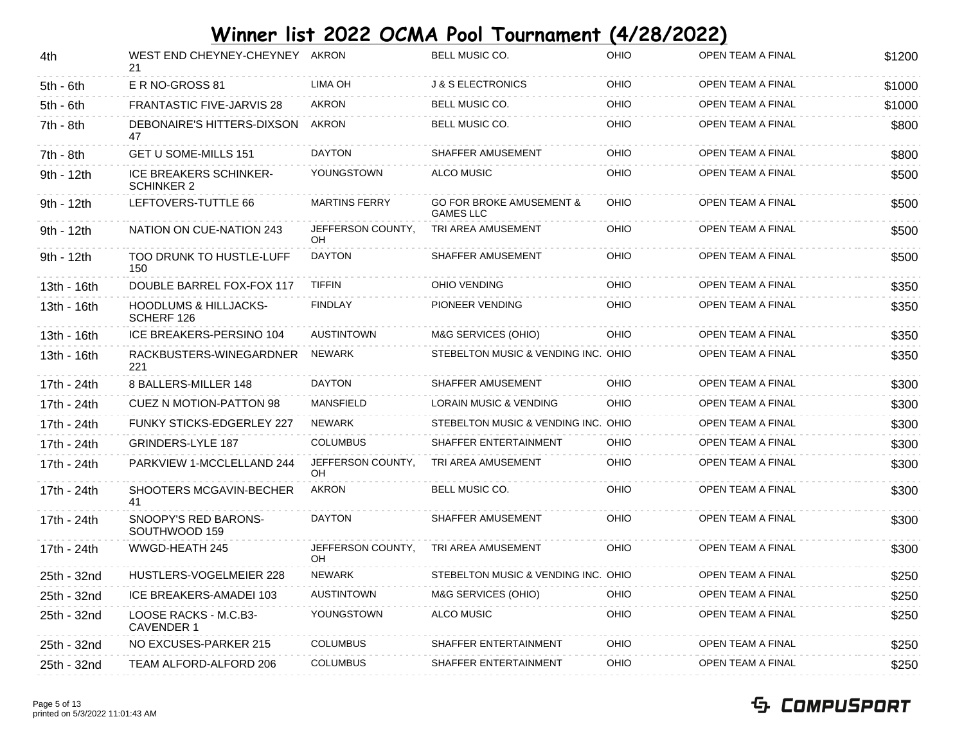| 4th         | WEST END CHEYNEY-CHEYNEY AKRON<br>21               |                                | BELL MUSIC CO.                                          | OHIO | OPEN TEAM A FINAL | \$1200 |
|-------------|----------------------------------------------------|--------------------------------|---------------------------------------------------------|------|-------------------|--------|
| $5th - 6th$ | E R NO-GROSS 81                                    | LIMA OH                        | <b>J &amp; S ELECTRONICS</b>                            | OHIO | OPEN TEAM A FINAL | \$1000 |
| $5th - 6th$ | <b>FRANTASTIC FIVE-JARVIS 28</b>                   | <b>AKRON</b>                   | BELL MUSIC CO.                                          | OHIO | OPEN TEAM A FINAL | \$1000 |
| 7th - 8th   | DEBONAIRE'S HITTERS-DIXSON<br>47                   | AKRON                          | BELL MUSIC CO.                                          | OHIO | OPEN TEAM A FINAL | \$800  |
| 7th - 8th   | <b>GET U SOME-MILLS 151</b>                        | <b>DAYTON</b>                  | SHAFFER AMUSEMENT                                       | OHIO | OPEN TEAM A FINAL | \$800  |
| 9th - 12th  | <b>ICE BREAKERS SCHINKER-</b><br><b>SCHINKER 2</b> | YOUNGSTOWN                     | <b>ALCO MUSIC</b>                                       | OHIO | OPEN TEAM A FINAL | \$500  |
| 9th - 12th  | LEFTOVERS-TUTTLE 66                                | <b>MARTINS FERRY</b>           | <b>GO FOR BROKE AMUSEMENT &amp;</b><br><b>GAMES LLC</b> | OHIO | OPEN TEAM A FINAL | \$500  |
| 9th - 12th  | NATION ON CUE-NATION 243                           | JEFFERSON COUNTY,<br><b>OH</b> | TRI AREA AMUSEMENT                                      | OHIO | OPEN TEAM A FINAL | \$500  |
| 9th - 12th  | <b>TOO DRUNK TO HUSTLE-LUFF</b><br>150             | <b>DAYTON</b>                  | SHAFFER AMUSEMENT                                       | OHIO | OPEN TEAM A FINAL | \$500  |
| 13th - 16th | DOUBLE BARREL FOX-FOX 117                          | <b>TIFFIN</b>                  | <b>OHIO VENDING</b>                                     | OHIO | OPEN TEAM A FINAL | \$350  |
| 13th - 16th | <b>HOODLUMS &amp; HILLJACKS-</b><br>SCHERF 126     | <b>FINDLAY</b>                 | PIONEER VENDING                                         | OHIO | OPEN TEAM A FINAL | \$350  |
| 13th - 16th | ICE BREAKERS-PERSINO 104                           | <b>AUSTINTOWN</b>              | M&G SERVICES (OHIO)                                     | OHIO | OPEN TEAM A FINAL | \$350  |
| 13th - 16th | RACKBUSTERS-WINEGARDNER<br>221                     | NEWARK                         | STEBELTON MUSIC & VENDING INC. OHIO                     |      | OPEN TEAM A FINAL | \$350  |
| 17th - 24th | 8 BALLERS-MILLER 148                               | <b>DAYTON</b>                  | SHAFFER AMUSEMENT                                       | OHIO | OPEN TEAM A FINAL | \$300  |
| 17th - 24th | <b>CUEZ N MOTION-PATTON 98</b>                     | <b>MANSFIELD</b>               | <b>LORAIN MUSIC &amp; VENDING</b>                       | OHIO | OPEN TEAM A FINAL | \$300  |
| 17th - 24th | <b>FUNKY STICKS-EDGERLEY 227</b>                   | NEWARK                         | STEBELTON MUSIC & VENDING INC. OHIO                     |      | OPEN TEAM A FINAL | \$300  |
| 17th - 24th | GRINDERS-LYLE 187                                  | <b>COLUMBUS</b>                | SHAFFER ENTERTAINMENT                                   | OHIO | OPEN TEAM A FINAL | \$300  |
| 17th - 24th | PARKVIEW 1-MCCLELLAND 244                          | JEFFERSON COUNTY,<br>OΗ        | TRI AREA AMUSEMENT                                      | OHIO | OPEN TEAM A FINAL | \$300  |
| 17th - 24th | SHOOTERS MCGAVIN-BECHER<br>41                      | <b>AKRON</b>                   | BELL MUSIC CO.                                          | OHIO | OPEN TEAM A FINAL | \$300  |
| 17th - 24th | SNOOPY'S RED BARONS-<br>SOUTHWOOD 159              | <b>DAYTON</b>                  | SHAFFER AMUSEMENT                                       | OHIO | OPEN TEAM A FINAL | \$300  |
| 17th - 24th | WWGD-HEATH 245                                     | JEFFERSON COUNTY,<br>OH        | TRI AREA AMUSEMENT                                      | OHIO | OPEN TEAM A FINAL | \$300  |
| 25th - 32nd | HUSTLERS-VOGELMEIER 228                            | <b>NEWARK</b>                  | STEBELTON MUSIC & VENDING INC. OHIO                     |      | OPEN TEAM A FINAL | \$250  |
| 25th - 32nd | ICE BREAKERS-AMADEI 103                            | AUSTINTOWN                     | M&G SERVICES (OHIO)                                     | OHIO | OPEN TEAM A FINAL | \$250  |
| 25th - 32nd | LOOSE RACKS - M.C.B3-<br><b>CAVENDER 1</b>         | YOUNGSTOWN                     | <b>ALCO MUSIC</b>                                       | OHIO | OPEN TEAM A FINAL | \$250  |
| 25th - 32nd | NO EXCUSES-PARKER 215                              | <b>COLUMBUS</b>                | SHAFFER ENTERTAINMENT                                   | OHIO | OPEN TEAM A FINAL | \$250  |
| 25th - 32nd | TEAM ALFORD-ALFORD 206                             | <b>COLUMBUS</b>                | SHAFFER ENTERTAINMENT                                   | OHIO | OPEN TEAM A FINAL | \$250  |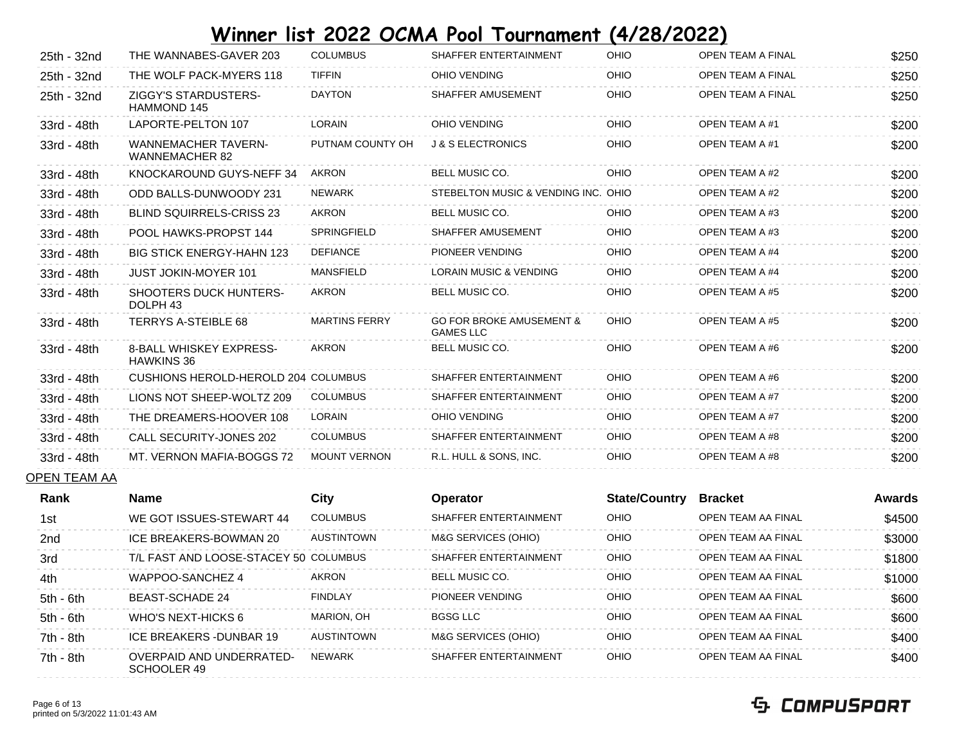| 25th - 32nd | THE WANNABES-GAVER 203                               | <b>COLUMBUS</b>      | SHAFFER ENTERTAINMENT                                   | OHIO | <b>OPEN TEAM A FINAL</b> | \$250 |
|-------------|------------------------------------------------------|----------------------|---------------------------------------------------------|------|--------------------------|-------|
| 25th - 32nd | THE WOLF PACK-MYERS 118                              | <b>TIFFIN</b>        | OHIO VENDING                                            | OHIO | OPEN TEAM A FINAL        | \$250 |
| 25th - 32nd | <b>ZIGGY'S STARDUSTERS-</b><br><b>HAMMOND 145</b>    | <b>DAYTON</b>        | SHAFFER AMUSEMENT                                       | OHIO | OPEN TEAM A FINAL        | \$250 |
| 33rd - 48th | LAPORTE-PELTON 107                                   | LORAIN               | OHIO VENDING                                            | OHIO | OPEN TEAM A #1           | \$200 |
| 33rd - 48th | <b>WANNEMACHER TAVERN-</b><br><b>WANNEMACHER 82</b>  | PUTNAM COUNTY OH     | <b>J &amp; S ELECTRONICS</b>                            | OHIO | OPEN TEAM A #1           | \$200 |
| 33rd - 48th | KNOCKAROUND GUYS-NEFF 34                             | <b>AKRON</b>         | <b>BELL MUSIC CO.</b>                                   | OHIO | <b>OPEN TEAM A #2</b>    | \$200 |
| 33rd - 48th | ODD BALLS-DUNWOODY 231                               | <b>NEWARK</b>        | STEBELTON MUSIC & VENDING INC. OHIO                     |      | OPEN TEAM A #2           | \$200 |
| 33rd - 48th | <b>BLIND SQUIRRELS-CRISS 23</b>                      | <b>AKRON</b>         | BELL MUSIC CO.                                          | OHIO | <b>OPEN TEAM A #3</b>    | \$200 |
| 33rd - 48th | POOL HAWKS-PROPST 144                                | SPRINGFIELD          | SHAFFER AMUSEMENT                                       | OHIO | <b>OPEN TEAM A #3</b>    | \$200 |
| 33rd - 48th | <b>BIG STICK ENERGY-HAHN 123</b>                     | <b>DEFIANCE</b>      | PIONEER VENDING                                         | OHIO | <b>OPEN TEAM A #4</b>    | \$200 |
| 33rd - 48th | <b>JUST JOKIN-MOYER 101</b>                          | <b>MANSFIELD</b>     | <b>LORAIN MUSIC &amp; VENDING</b>                       | OHIO | OPEN TEAM A #4           | \$200 |
| 33rd - 48th | <b>SHOOTERS DUCK HUNTERS-</b><br>DOLPH <sub>43</sub> | <b>AKRON</b>         | <b>BELL MUSIC CO.</b>                                   | OHIO | <b>OPEN TEAM A #5</b>    | \$200 |
| 33rd - 48th | <b>TERRYS A-STEIBLE 68</b>                           | <b>MARTINS FERRY</b> | <b>GO FOR BROKE AMUSEMENT &amp;</b><br><b>GAMES LLC</b> | OHIO | <b>OPEN TEAM A #5</b>    | \$200 |
| 33rd - 48th | 8-BALL WHISKEY EXPRESS-<br><b>HAWKINS 36</b>         | <b>AKRON</b>         | BELL MUSIC CO.                                          | OHIO | OPEN TEAM A #6           | \$200 |
| 33rd - 48th | CUSHIONS HEROLD-HEROLD 204 COLUMBUS                  |                      | SHAFFER ENTERTAINMENT                                   | OHIO | OPEN TEAM A #6           | \$200 |
| 33rd - 48th | LIONS NOT SHEEP-WOLTZ 209                            | <b>COLUMBUS</b>      | SHAFFER ENTERTAINMENT                                   | OHIO | OPEN TEAM A #7           | \$200 |
| 33rd - 48th | THE DREAMERS-HOOVER 108                              | <b>LORAIN</b>        | OHIO VENDING                                            | OHIO | <b>OPEN TEAM A #7</b>    | \$200 |
| 33rd - 48th | <b>CALL SECURITY-JONES 202</b>                       | <b>COLUMBUS</b>      | SHAFFER ENTERTAINMENT                                   | OHIO | <b>OPEN TEAM A #8</b>    | \$200 |
| 33rd - 48th | MT. VERNON MAFIA-BOGGS 72                            | <b>MOUNT VERNON</b>  | R.L. HULL & SONS, INC.                                  | OHIO | <b>OPEN TEAM A #8</b>    | \$200 |
|             |                                                      |                      |                                                         |      |                          |       |

#### OPEN TEAM AA

| Rank        | <b>Name</b>                                    | City              | <b>Operator</b>       | <b>State/Country</b> | <b>Bracket</b>            | <b>Awards</b> |
|-------------|------------------------------------------------|-------------------|-----------------------|----------------------|---------------------------|---------------|
| 1st         | WE GOT ISSUES-STEWART 44                       | <b>COLUMBUS</b>   | SHAFFER ENTERTAINMENT | OHIO                 | <b>OPEN TEAM AA FINAL</b> | \$4500        |
| 2nd         | ICE BREAKERS-BOWMAN 20                         | AUSTINTOWN        | M&G SERVICES (OHIO)   | OHIO                 | <b>OPEN TEAM AA FINAL</b> | \$3000        |
| 3rd         | T/L FAST AND LOOSE-STACEY 50 COLUMBUS          |                   | SHAFFER ENTERTAINMENT | OHIO                 | <b>OPEN TEAM AA FINAL</b> | \$1800        |
| 4th         | WAPPOO-SANCHEZ 4                               | AKRON             | <b>BELL MUSIC CO.</b> | OHIO                 | OPEN TEAM AA FINAL        | \$1000        |
| $5th - 6th$ | <b>BEAST-SCHADE 24</b>                         | <b>FINDLAY</b>    | PIONEER VENDING       | OHIO                 | OPEN TEAM AA FINAL        | \$600         |
| $5th - 6th$ | WHO'S NEXT-HICKS 6                             | MARION. OH        | BGSG LLC              | OHIO                 | OPEN TEAM AA FINAL        | \$600         |
| $7th - 8th$ | ICE BREAKERS - DUNBAR 19                       | <b>AUSTINTOWN</b> | M&G SERVICES (OHIO)   | OHIO                 | OPEN TEAM AA FINAL        | \$400         |
| $7th - 8th$ | <b>OVERPAID AND UNDERRATED-</b><br>SCHOOLER 49 | <b>NFWARK</b>     | SHAFFER ENTERTAINMENT | <b>OHIO</b>          | <b>OPEN TEAM AA FINAL</b> | \$400         |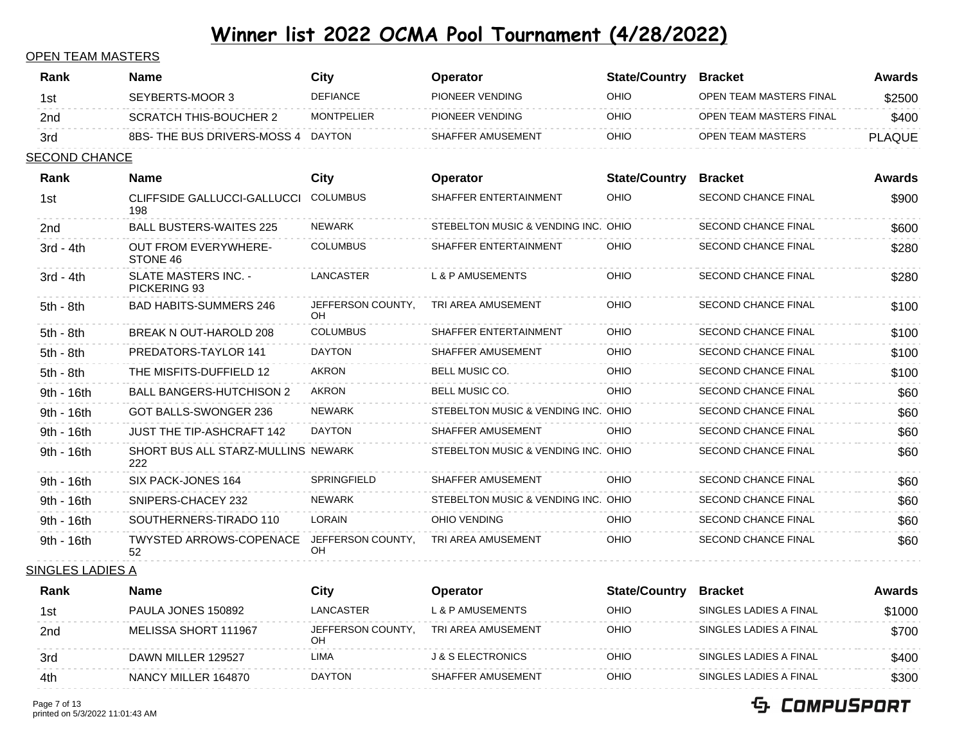#### OPEN TEAM MASTERS

| Rank                 | <b>Name</b>                               | <b>City</b>                    | Operator                            | <b>State/Country</b> | <b>Bracket</b>             | <b>Awards</b> |
|----------------------|-------------------------------------------|--------------------------------|-------------------------------------|----------------------|----------------------------|---------------|
| 1st                  | SEYBERTS-MOOR 3                           | <b>DEFIANCE</b>                | PIONEER VENDING                     | <b>OHIO</b>          | OPEN TEAM MASTERS FINAL    | \$2500        |
| 2nd                  | <b>SCRATCH THIS-BOUCHER 2</b>             | <b>MONTPELIER</b>              | PIONEER VENDING                     | OHIO                 | OPEN TEAM MASTERS FINAL    | \$400         |
| 3rd                  | 8BS- THE BUS DRIVERS-MOSS 4 DAYTON        |                                | SHAFFER AMUSEMENT                   | OHIO                 | OPEN TEAM MASTERS          | <b>PLAQUE</b> |
| <b>SECOND CHANCE</b> |                                           |                                |                                     |                      |                            |               |
| Rank                 | <b>Name</b>                               | <b>City</b>                    | <b>Operator</b>                     | <b>State/Country</b> | <b>Bracket</b>             | Awards        |
| 1st                  | CLIFFSIDE GALLUCCI-GALLUCCI<br>198        | <b>COLUMBUS</b>                | SHAFFER ENTERTAINMENT               | OHIO                 | <b>SECOND CHANCE FINAL</b> | \$900         |
| 2 <sub>nd</sub>      | <b>BALL BUSTERS-WAITES 225</b>            | NEWARK                         | STEBELTON MUSIC & VENDING INC. OHIO |                      | SECOND CHANCE FINAL        | \$600         |
| $3rd - 4th$          | <b>OUT FROM EVERYWHERE-</b><br>STONE 46   | <b>COLUMBUS</b>                | SHAFFER ENTERTAINMENT               | OHIO                 | SECOND CHANCE FINAL        | \$280         |
| 3rd - 4th            | SLATE MASTERS INC. -<br>PICKERING 93      | LANCASTER                      | L & P AMUSEMENTS                    | OHIO                 | <b>SECOND CHANCE FINAL</b> | \$280         |
| 5th - 8th            | <b>BAD HABITS-SUMMERS 246</b>             | JEFFERSON COUNTY,<br>OH        | TRI AREA AMUSEMENT                  | OHIO                 | <b>SECOND CHANCE FINAL</b> | \$100         |
| 5th - 8th            | BREAK N OUT-HAROLD 208                    | <b>COLUMBUS</b>                | SHAFFER ENTERTAINMENT               | OHIO                 | <b>SECOND CHANCE FINAL</b> | \$100         |
| 5th - 8th            | PREDATORS-TAYLOR 141                      | <b>DAYTON</b>                  | SHAFFER AMUSEMENT                   | OHIO                 | SECOND CHANCE FINAL        | \$100         |
| 5th - 8th            | THE MISFITS-DUFFIELD 12                   | <b>AKRON</b>                   | <b>BELL MUSIC CO.</b>               | OHIO                 | <b>SECOND CHANCE FINAL</b> | \$100         |
| 9th - 16th           | <b>BALL BANGERS-HUTCHISON 2</b>           | <b>AKRON</b>                   | BELL MUSIC CO.                      | OHIO                 | <b>SECOND CHANCE FINAL</b> | \$60          |
| 9th - 16th           | GOT BALLS-SWONGER 236                     | <b>NEWARK</b>                  | STEBELTON MUSIC & VENDING INC. OHIO |                      | <b>SECOND CHANCE FINAL</b> | \$60          |
| 9th - 16th           | <b>JUST THE TIP-ASHCRAFT 142</b>          | <b>DAYTON</b>                  | SHAFFER AMUSEMENT                   | OHIO                 | SECOND CHANCE FINAL        | \$60          |
| 9th - 16th           | SHORT BUS ALL STARZ-MULLINS NEWARK<br>222 |                                | STEBELTON MUSIC & VENDING INC. OHIO |                      | SECOND CHANCE FINAL        | \$60          |
| 9th - 16th           | SIX PACK-JONES 164                        | SPRINGFIELD                    | SHAFFER AMUSEMENT                   | OHIO                 | SECOND CHANCE FINAL        | \$60          |
| 9th - 16th           | SNIPERS-CHACEY 232                        | <b>NEWARK</b>                  | STEBELTON MUSIC & VENDING INC. OHIO |                      | SECOND CHANCE FINAL        | \$60          |
| 9th - 16th           | SOUTHERNERS-TIRADO 110                    | LORAIN                         | OHIO VENDING                        | OHIO                 | SECOND CHANCE FINAL        | \$60          |
| 9th - 16th           | TWYSTED ARROWS-COPENACE<br>52             | JEFFERSON COUNTY,<br><b>OH</b> | TRI AREA AMUSEMENT                  | OHIO                 | <b>SECOND CHANCE FINAL</b> | \$60          |
| SINGLES LADIES A     |                                           |                                |                                     |                      |                            |               |
| Rank                 | <b>Name</b>                               | City                           | <b>Operator</b>                     | <b>State/Country</b> | <b>Bracket</b>             | Awards        |
| 1st                  | PAULA JONES 150892                        | LANCASTER                      | L & P AMUSEMENTS                    | OHIO                 | SINGLES LADIES A FINAL     | \$1000        |
| 2nd                  | MELISSA SHORT 111967                      | JEFFERSON COUNTY,<br>OH        | TRI AREA AMUSEMENT                  | OHIO                 | SINGLES LADIES A FINAL     | \$700         |
| 3rd                  | DAWN MILLER 129527                        | LIMA                           | <b>J &amp; S ELECTRONICS</b>        | OHIO                 | SINGLES LADIES A FINAL     | \$400         |
| 4th                  | NANCY MILLER 164870                       | <b>DAYTON</b>                  | SHAFFER AMUSEMENT                   | OHIO                 | SINGLES LADIES A FINAL     | \$300         |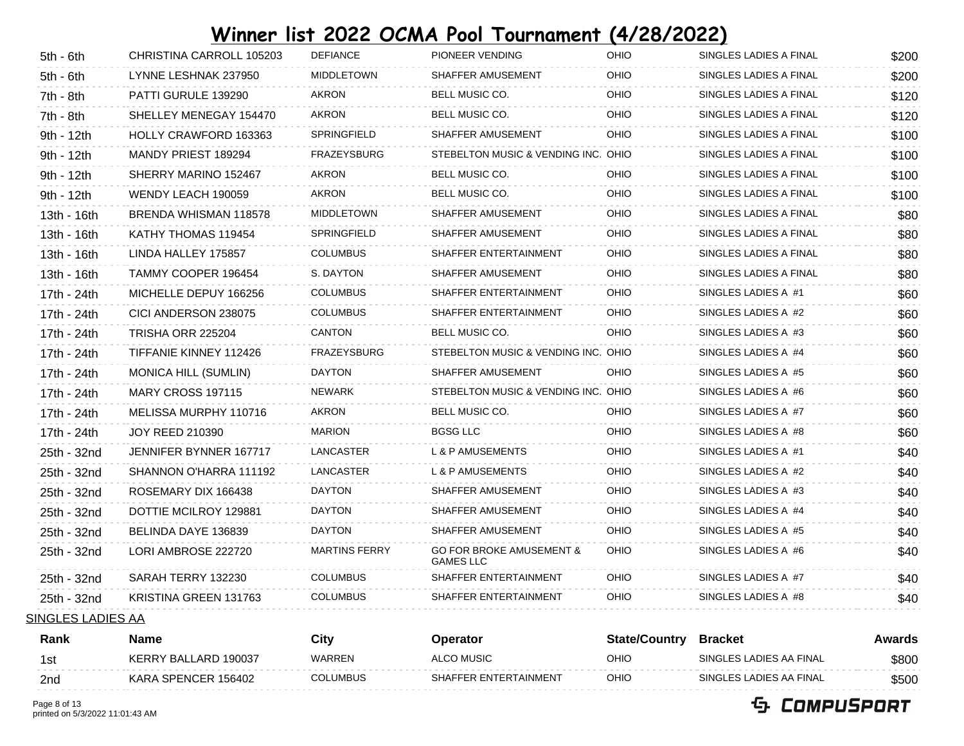| $5th - 6th$ | CHRISTINA CARROLL 105203 | <b>DEFIANCE</b>      | PIONEER VENDING                                         | OHIO        | SINGLES LADIES A FINAL | \$200 |
|-------------|--------------------------|----------------------|---------------------------------------------------------|-------------|------------------------|-------|
| $5th - 6th$ | LYNNE LESHNAK 237950     | <b>MIDDLETOWN</b>    | SHAFFER AMUSEMENT                                       | OHIO        | SINGLES LADIES A FINAL | \$200 |
| 7th - 8th   | PATTI GURULE 139290      | <b>AKRON</b>         | BELL MUSIC CO.                                          | OHIO        | SINGLES LADIES A FINAL | \$120 |
| 7th - 8th   | SHELLEY MENEGAY 154470   | <b>AKRON</b>         | BELL MUSIC CO.                                          | OHIO        | SINGLES LADIES A FINAL | \$120 |
| 9th - 12th  | HOLLY CRAWFORD 163363    | SPRINGFIELD          | SHAFFER AMUSEMENT                                       | <b>OHIO</b> | SINGLES LADIES A FINAL | \$100 |
| 9th - 12th  | MANDY PRIEST 189294      | <b>FRAZEYSBURG</b>   | STEBELTON MUSIC & VENDING INC. OHIO                     |             | SINGLES LADIES A FINAL | \$100 |
| 9th - 12th  | SHERRY MARINO 152467     | AKRON                | BELL MUSIC CO.                                          | OHIO        | SINGLES LADIES A FINAL | \$100 |
| 9th - 12th  | WENDY LEACH 190059       | AKRON                | BELL MUSIC CO.                                          | OHIO        | SINGLES LADIES A FINAL | \$100 |
| 13th - 16th | BRENDA WHISMAN 118578    | <b>MIDDLETOWN</b>    | SHAFFER AMUSEMENT                                       | OHIO        | SINGLES LADIES A FINAL | \$80  |
| 13th - 16th | KATHY THOMAS 119454      | SPRINGFIELD          | SHAFFER AMUSEMENT                                       | OHIO        | SINGLES LADIES A FINAL | \$80  |
| 13th - 16th | LINDA HALLEY 175857      | <b>COLUMBUS</b>      | SHAFFER ENTERTAINMENT                                   | <b>OHIO</b> | SINGLES LADIES A FINAL | \$80  |
| 13th - 16th | TAMMY COOPER 196454      | S. DAYTON            | SHAFFER AMUSEMENT                                       | OHIO        | SINGLES LADIES A FINAL | \$80  |
| 17th - 24th | MICHELLE DEPUY 166256    | <b>COLUMBUS</b>      | SHAFFER ENTERTAINMENT                                   | OHIO        | SINGLES LADIES A #1    | \$60  |
| 17th - 24th | CICI ANDERSON 238075     | <b>COLUMBUS</b>      | SHAFFER ENTERTAINMENT                                   | OHIO        | SINGLES LADIES A #2    | \$60  |
| 17th - 24th | TRISHA ORR 225204        | CANTON               | BELL MUSIC CO.                                          | <b>OHIO</b> | SINGLES LADIES A #3    | \$60  |
| 17th - 24th | TIFFANIE KINNEY 112426   | <b>FRAZEYSBURG</b>   | STEBELTON MUSIC & VENDING INC. OHIO                     |             | SINGLES LADIES A #4    | \$60  |
| 17th - 24th | MONICA HILL (SUMLIN)     | <b>DAYTON</b>        | SHAFFER AMUSEMENT                                       | OHIO        | SINGLES LADIES A #5    | \$60  |
| 17th - 24th | MARY CROSS 197115        | <b>NEWARK</b>        | STEBELTON MUSIC & VENDING INC. OHIO                     |             | SINGLES LADIES A #6    | \$60  |
| 17th - 24th | MELISSA MURPHY 110716    | AKRON                | BELL MUSIC CO.                                          | OHIO        | SINGLES LADIES A #7    | \$60  |
| 17th - 24th | <b>JOY REED 210390</b>   | <b>MARION</b>        | <b>BGSG LLC</b>                                         | <b>OHIO</b> | SINGLES LADIES A #8    | \$60  |
| 25th - 32nd | JENNIFER BYNNER 167717   | LANCASTER            | L & P AMUSEMENTS                                        | OHIO        | SINGLES LADIES A #1    | \$40  |
| 25th - 32nd | SHANNON O'HARRA 111192   | LANCASTER            | L & P AMUSEMENTS                                        | OHIO        | SINGLES LADIES A #2    | \$40  |
| 25th - 32nd | ROSEMARY DIX 166438      | <b>DAYTON</b>        | SHAFFER AMUSEMENT                                       | <b>OHIO</b> | SINGLES LADIES A #3    | \$40  |
| 25th - 32nd | DOTTIE MCILROY 129881    | <b>DAYTON</b>        | SHAFFER AMUSEMENT                                       | OHIO        | SINGLES LADIES A #4    | \$40  |
| 25th - 32nd | BELINDA DAYE 136839      | DAYTON               | SHAFFER AMUSEMENT                                       | OHIO        | SINGLES LADIES A #5    | \$40  |
| 25th - 32nd | LORI AMBROSE 222720      | <b>MARTINS FERRY</b> | <b>GO FOR BROKE AMUSEMENT &amp;</b><br><b>GAMES LLC</b> | <b>OHIO</b> | SINGLES LADIES A #6    | \$40  |
| 25th - 32nd | SARAH TERRY 132230       | <b>COLUMBUS</b>      | SHAFFER ENTERTAINMENT                                   | <b>OHIO</b> | SINGLES LADIES A #7    | \$40  |
| 25th - 32nd | KRISTINA GREEN 131763    | <b>COLUMBUS</b>      | SHAFFER ENTERTAINMENT                                   | OHIO        | SINGLES LADIES A #8    | \$40  |

SINGLES LADIES AA

| Rank | Name                 | City     | <b>Operator</b>       | <b>State/Country</b> | <b>Bracket</b>          | Awards |
|------|----------------------|----------|-----------------------|----------------------|-------------------------|--------|
| 1si  | KERRY BALLARD 190037 | WARREN   | ALCO MUSIC            | OHIO                 | SINGLES LADIES AA FINAL | \$800  |
| 2nd  | KARA SPENCER 156402  | COLUMBUS | SHAFFER ENTERTAINMENT | OHIO                 | SINGLES LADIES AA FINAL | \$500  |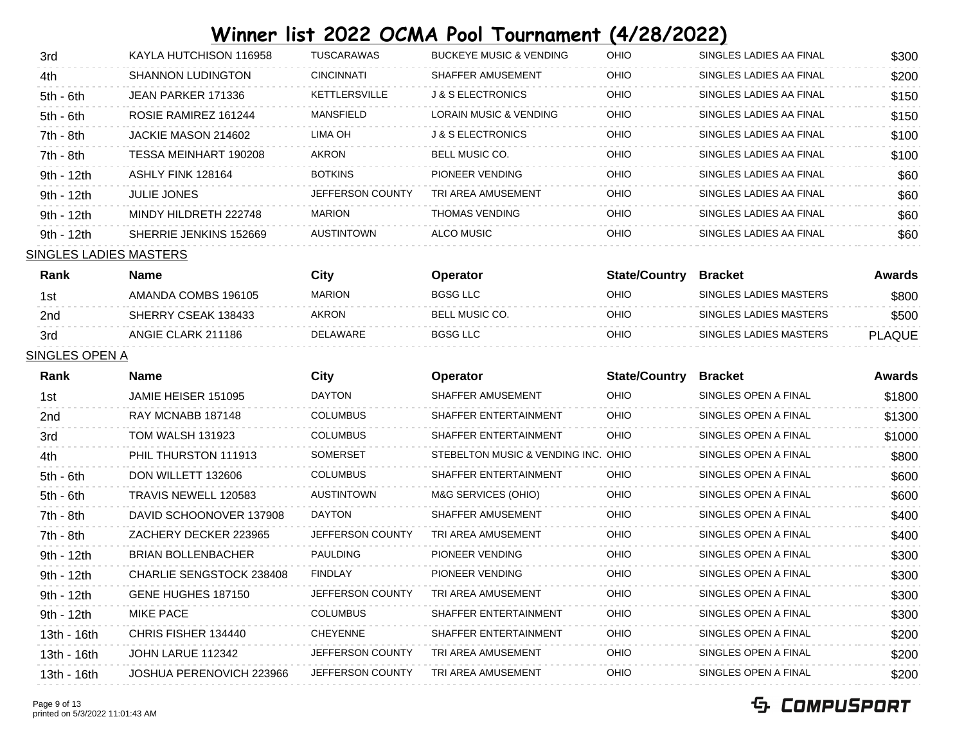| 3rd                    | KAYLA HUTCHISON 116958   | <b>TUSCARAWAS</b> | <b>BUCKEYE MUSIC &amp; VENDING</b> | <b>OHIO</b> | SINGLES LADIES AA FINAL | \$300 |
|------------------------|--------------------------|-------------------|------------------------------------|-------------|-------------------------|-------|
| 4th                    | <b>SHANNON LUDINGTON</b> | <b>CINCINNATI</b> | SHAFFER AMUSEMENT                  | OHIO        | SINGLES LADIES AA FINAL | \$200 |
| $5th - 6th$            | JEAN PARKER 171336       | KETTLERSVILLE     | <b>J &amp; S ELECTRONICS</b>       | OHIO        | SINGLES LADIES AA FINAL | \$150 |
| $5th - 6th$            | ROSIE RAMIREZ 161244     | MANSFIELD         | LORAIN MUSIC & VENDING             | OHIO        | SINGLES LADIES AA FINAL | \$150 |
| $7th - 8th$            | JACKIE MASON 214602      | LIMA OH           | <b>J &amp; S ELECTRONICS</b>       | OHIO        | SINGLES LADIES AA FINAL | \$100 |
| 7th - 8th              | TESSA MEINHART 190208    | <b>AKRON</b>      | <b>BELL MUSIC CO.</b>              | OHIO        | SINGLES LADIES AA FINAL | \$100 |
| 9th - 12th             | ASHLY FINK 128164        | <b>BOTKINS</b>    | PIONEER VENDING                    | <b>OHIO</b> | SINGLES LADIES AA FINAL | \$60  |
| 9th - 12th             | <b>JULIE JONES</b>       | JEFFERSON COUNTY  | TRI AREA AMUSEMENT                 | OHIO        | SINGLES LADIES AA FINAL | \$60  |
| 9th - 12th             | MINDY HILDRETH 222748    | <b>MARION</b>     | <b>THOMAS VENDING</b>              | OHIO        | SINGLES LADIES AA FINAL | \$60  |
| 9th - 12th             | SHERRIE JENKINS 152669   | <b>AUSTINTOWN</b> | ALCO MUSIC                         | OHIO        | SINGLES LADIES AA FINAL | \$60  |
| SINGLES LADIES MASTERS |                          |                   |                                    |             |                         |       |

| Rank | Name                | City          | <b>Operator</b> | <b>State/Country</b> | Bracket                | Awards        |
|------|---------------------|---------------|-----------------|----------------------|------------------------|---------------|
| 1st  | AMANDA COMBS 196105 | <b>MARION</b> | BGSG LLC        | OHIO                 | SINGLES LADIES MASTERS | \$800         |
| 2nd  | SHERRY CSEAK 138433 | <b>AKRON</b>  | BELL MUSIC CO.  | OHIO                 | SINGLES LADIES MASTERS | \$500         |
| 3rd  | ANGIE CLARK 211186  | DELAWARE      | <b>BGSG LLC</b> | OHIO                 | SINGLES LADIES MASTERS | <b>PLAQUE</b> |

#### SINGLES OPEN A

| <b>Rank</b> | Name                      | City                    | <b>Operator</b>                     | <b>State/Country</b> | <b>Bracket</b>       | Awards |
|-------------|---------------------------|-------------------------|-------------------------------------|----------------------|----------------------|--------|
| 1st         | JAMIE HEISER 151095       | <b>DAYTON</b>           | SHAFFER AMUSEMENT                   | OHIO                 | SINGLES OPEN A FINAL | \$1800 |
| 2nd         | RAY MCNABB 187148         | <b>COLUMBUS</b>         | SHAFFER ENTERTAINMENT               | OHIO                 | SINGLES OPEN A FINAL | \$1300 |
| 3rd         | TOM WALSH 131923          | <b>COLUMBUS</b>         | SHAFFER ENTERTAINMENT               | OHIO                 | SINGLES OPEN A FINAL | \$1000 |
| 4th         | PHIL THURSTON 111913      | <b>SOMERSET</b>         | STEBELTON MUSIC & VENDING INC. OHIO |                      | SINGLES OPEN A FINAL | \$800  |
| $5th - 6th$ | DON WILLETT 132606        | <b>COLUMBUS</b>         | SHAFFER ENTERTAINMENT               | OHIO                 | SINGLES OPEN A FINAL | \$600  |
| $5th - 6th$ | TRAVIS NEWELL 120583      | <b>AUSTINTOWN</b>       | M&G SERVICES (OHIO)                 | <b>OHIO</b>          | SINGLES OPEN A FINAL | \$600  |
| 7th - 8th   | DAVID SCHOONOVER 137908   | <b>DAYTON</b>           | SHAFFER AMUSEMENT                   | OHIO                 | SINGLES OPEN A FINAL | \$400  |
| 7th - 8th   | ZACHERY DECKER 223965     | JEFFERSON COUNTY        | TRI AREA AMUSEMENT                  | OHIO                 | SINGLES OPEN A FINAL | \$400  |
| 9th - 12th  | <b>BRIAN BOLLENBACHER</b> | <b>PAULDING</b>         | PIONEER VENDING                     | <b>OHIO</b>          | SINGLES OPEN A FINAL | \$300  |
| 9th - 12th  | CHARLIE SENGSTOCK 238408  | <b>FINDLAY</b>          | PIONEER VENDING                     | <b>OHIO</b>          | SINGLES OPEN A FINAL | \$300  |
| 9th - 12th  | GENE HUGHES 187150        | <b>JEFFERSON COUNTY</b> | TRI AREA AMUSEMENT                  | OHIO                 | SINGLES OPEN A FINAL | \$300  |
| 9th - 12th  | <b>MIKE PACE</b>          | <b>COLUMBUS</b>         | SHAFFER ENTERTAINMENT               | <b>OHIO</b>          | SINGLES OPEN A FINAL | \$300  |
| 13th - 16th | CHRIS FISHER 134440       | <b>CHEYENNE</b>         | SHAFFER ENTERTAINMENT               | OHIO                 | SINGLES OPEN A FINAL | \$200  |
| 13th - 16th | JOHN LARUE 112342         | JEFFERSON COUNTY        | TRI AREA AMUSEMENT                  | OHIO                 | SINGLES OPEN A FINAL | \$200  |
| 13th - 16th | JOSHUA PERENOVICH 223966  | <b>JEFFERSON COUNTY</b> | TRI AREA AMUSEMENT                  | <b>OHIO</b>          | SINGLES OPEN A FINAL | \$200  |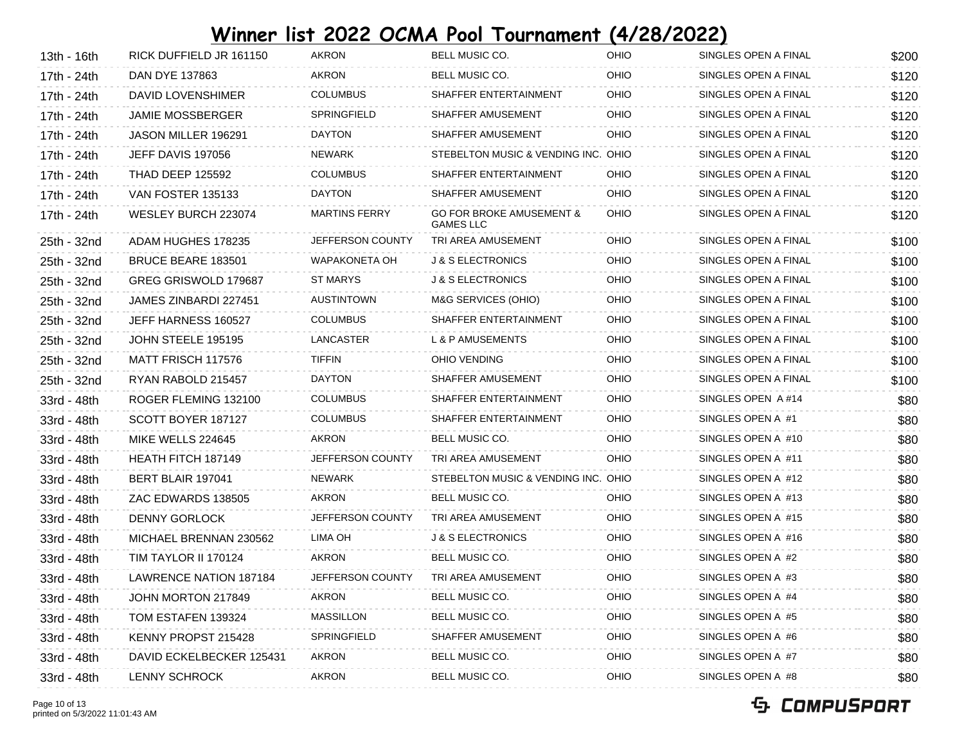| 13th - 16th | RICK DUFFIELD JR 161150       | <b>AKRON</b>            | BELL MUSIC CO.                                          | OHIO | SINGLES OPEN A FINAL | \$200 |
|-------------|-------------------------------|-------------------------|---------------------------------------------------------|------|----------------------|-------|
| 17th - 24th | DAN DYE 137863                | AKRON                   | BELL MUSIC CO.                                          | OHIO | SINGLES OPEN A FINAL | \$120 |
| 17th - 24th | DAVID LOVENSHIMER             | <b>COLUMBUS</b>         | SHAFFER ENTERTAINMENT                                   | OHIO | SINGLES OPEN A FINAL | \$120 |
| 17th - 24th | <b>JAMIE MOSSBERGER</b>       | SPRINGFIELD             | SHAFFER AMUSEMENT                                       | OHIO | SINGLES OPEN A FINAL | \$120 |
| 17th - 24th | JASON MILLER 196291           | <b>DAYTON</b>           | SHAFFER AMUSEMENT                                       | OHIO | SINGLES OPEN A FINAL | \$120 |
| 17th - 24th | JEFF DAVIS 197056             | <b>NEWARK</b>           | STEBELTON MUSIC & VENDING INC. OHIO                     |      | SINGLES OPEN A FINAL | \$120 |
| 17th - 24th | <b>THAD DEEP 125592</b>       | <b>COLUMBUS</b>         | SHAFFER ENTERTAINMENT                                   | OHIO | SINGLES OPEN A FINAL | \$120 |
| 17th - 24th | VAN FOSTER 135133             | <b>DAYTON</b>           | SHAFFER AMUSEMENT                                       | OHIO | SINGLES OPEN A FINAL | \$120 |
| 17th - 24th | WESLEY BURCH 223074           | <b>MARTINS FERRY</b>    | <b>GO FOR BROKE AMUSEMENT &amp;</b><br><b>GAMES LLC</b> | OHIO | SINGLES OPEN A FINAL | \$120 |
| 25th - 32nd | ADAM HUGHES 178235            | JEFFERSON COUNTY        | TRI AREA AMUSEMENT                                      | OHIO | SINGLES OPEN A FINAL | \$100 |
| 25th - 32nd | <b>BRUCE BEARE 183501</b>     | WAPAKONETA OH           | <b>J &amp; S ELECTRONICS</b>                            | OHIO | SINGLES OPEN A FINAL | \$100 |
| 25th - 32nd | GREG GRISWOLD 179687          | ST MARYS                | <b>J &amp; S ELECTRONICS</b>                            | OHIO | SINGLES OPEN A FINAL | \$100 |
| 25th - 32nd | JAMES ZINBARDI 227451         | AUSTINTOWN              | M&G SERVICES (OHIO)                                     | OHIO | SINGLES OPEN A FINAL | \$100 |
| 25th - 32nd | JEFF HARNESS 160527           | <b>COLUMBUS</b>         | SHAFFER ENTERTAINMENT                                   | OHIO | SINGLES OPEN A FINAL | \$100 |
| 25th - 32nd | JOHN STEELE 195195            | LANCASTER               | L & P AMUSEMENTS                                        | OHIO | SINGLES OPEN A FINAL | \$100 |
| 25th - 32nd | MATT FRISCH 117576            | <b>TIFFIN</b>           | OHIO VENDING                                            | OHIO | SINGLES OPEN A FINAL | \$100 |
| 25th - 32nd | RYAN RABOLD 215457            | <b>DAYTON</b>           | SHAFFER AMUSEMENT                                       | OHIO | SINGLES OPEN A FINAL | \$100 |
| 33rd - 48th | ROGER FLEMING 132100          | <b>COLUMBUS</b>         | SHAFFER ENTERTAINMENT                                   | OHIO | SINGLES OPEN A #14   | \$80  |
| 33rd - 48th | SCOTT BOYER 187127            | <b>COLUMBUS</b>         | SHAFFER ENTERTAINMENT                                   | OHIO | SINGLES OPEN A #1    | \$80  |
| 33rd - 48th | MIKE WELLS 224645             | AKRON                   | BELL MUSIC CO.                                          | OHIO | SINGLES OPEN A #10   | \$80  |
| 33rd - 48th | HEATH FITCH 187149            | JEFFERSON COUNTY        | TRI AREA AMUSEMENT                                      | OHIO | SINGLES OPEN A #11   | \$80  |
| 33rd - 48th | BERT BLAIR 197041             | <b>NEWARK</b>           | STEBELTON MUSIC & VENDING INC. OHIO                     |      | SINGLES OPEN A #12   | \$80  |
| 33rd - 48th | ZAC EDWARDS 138505            | AKRON                   | BELL MUSIC CO.                                          | OHIO | SINGLES OPEN A #13   | \$80  |
| 33rd - 48th | <b>DENNY GORLOCK</b>          | <b>JEFFERSON COUNTY</b> | TRI AREA AMUSEMENT                                      | OHIO | SINGLES OPEN A #15   | \$80  |
| 33rd - 48th | MICHAEL BRENNAN 230562        | LIMA OH                 | <b>J &amp; S ELECTRONICS</b>                            | OHIO | SINGLES OPEN A #16   | \$80  |
| 33rd - 48th | TIM TAYLOR II 170124          | AKRON                   | BELL MUSIC CO.                                          | OHIO | SINGLES OPEN A #2    | \$80  |
| 33rd - 48th | <b>LAWRENCE NATION 187184</b> | JEFFERSON COUNTY        | TRI AREA AMUSEMENT                                      | OHIO | SINGLES OPEN A #3    | \$80  |
| 33rd - 48th | JOHN MORTON 217849            | <b>AKRON</b>            | BELL MUSIC CO.                                          | OHIO | SINGLES OPEN A #4    | \$80  |
| 33rd - 48th | TOM ESTAFEN 139324            | <b>MASSILLON</b>        | BELL MUSIC CO.                                          | OHIO | SINGLES OPEN A #5    | \$80  |
| 33rd - 48th | KENNY PROPST 215428           | SPRINGFIELD             | SHAFFER AMUSEMENT                                       | OHIO | SINGLES OPEN A #6    | \$80  |
| 33rd - 48th | DAVID ECKELBECKER 125431      | AKRON                   | BELL MUSIC CO.                                          | OHIO | SINGLES OPEN A #7    | \$80  |
| 33rd - 48th | <b>LENNY SCHROCK</b>          | AKRON                   | BELL MUSIC CO.                                          | OHIO | SINGLES OPEN A #8    | \$80  |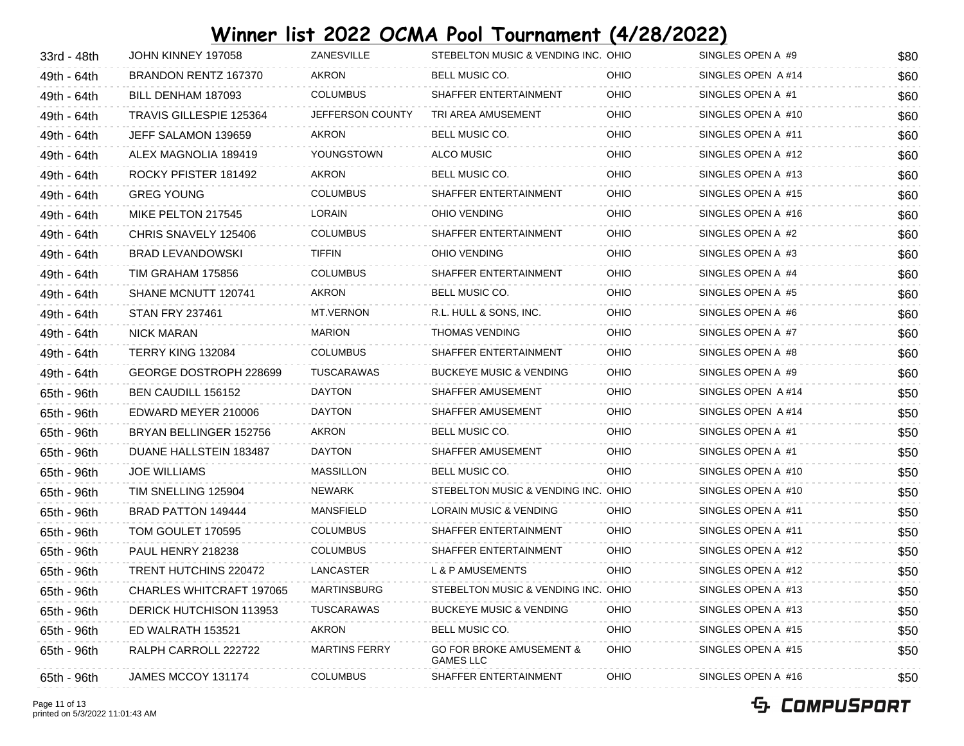| 33rd - 48th | JOHN KINNEY 197058       | ZANESVILLE           | STEBELTON MUSIC & VENDING INC. OHIO                     |      | SINGLES OPEN A #9  | \$80 |
|-------------|--------------------------|----------------------|---------------------------------------------------------|------|--------------------|------|
| 49th - 64th | BRANDON RENTZ 167370     | AKRON                | BELL MUSIC CO.                                          | OHIO | SINGLES OPEN A #14 | \$60 |
| 49th - 64th | BILL DENHAM 187093       | <b>COLUMBUS</b>      | SHAFFER ENTERTAINMENT                                   | OHIO | SINGLES OPEN A #1  | \$60 |
| 49th - 64th | TRAVIS GILLESPIE 125364  | JEFFERSON COUNTY     | TRI AREA AMUSEMENT                                      | OHIO | SINGLES OPEN A #10 | \$60 |
| 49th - 64th | JEFF SALAMON 139659      | AKRON                | BELL MUSIC CO.                                          | OHIO | SINGLES OPEN A #11 | \$60 |
| 49th - 64th | ALEX MAGNOLIA 189419     | YOUNGSTOWN           | ALCO MUSIC                                              | OHIO | SINGLES OPEN A #12 | \$60 |
| 49th - 64th | ROCKY PFISTER 181492     | AKRON                | BELL MUSIC CO.                                          | OHIO | SINGLES OPEN A #13 | \$60 |
| 49th - 64th | <b>GREG YOUNG</b>        | <b>COLUMBUS</b>      | SHAFFER ENTERTAINMENT                                   | OHIO | SINGLES OPEN A #15 | \$60 |
| 49th - 64th | MIKE PELTON 217545       | <b>LORAIN</b>        | OHIO VENDING                                            | OHIO | SINGLES OPEN A #16 | \$60 |
| 49th - 64th | CHRIS SNAVELY 125406     | <b>COLUMBUS</b>      | SHAFFER ENTERTAINMENT                                   | OHIO | SINGLES OPEN A #2  | \$60 |
| 49th - 64th | <b>BRAD LEVANDOWSKI</b>  | <b>TIFFIN</b>        | OHIO VENDING                                            | OHIO | SINGLES OPEN A #3  | \$60 |
| 49th - 64th | TIM GRAHAM 175856        | <b>COLUMBUS</b>      | SHAFFER ENTERTAINMENT                                   | OHIO | SINGLES OPEN A #4  | \$60 |
| 49th - 64th | SHANE MCNUTT 120741      | AKRON                | BELL MUSIC CO.                                          | OHIO | SINGLES OPEN A #5  | \$60 |
| 49th - 64th | <b>STAN FRY 237461</b>   | MT.VERNON            | R.L. HULL & SONS, INC.                                  | OHIO | SINGLES OPEN A #6  | \$60 |
| 49th - 64th | <b>NICK MARAN</b>        | <b>MARION</b>        | <b>THOMAS VENDING</b>                                   | OHIO | SINGLES OPEN A #7  | \$60 |
| 49th - 64th | TERRY KING 132084        | <b>COLUMBUS</b>      | SHAFFER ENTERTAINMENT                                   | OHIO | SINGLES OPEN A #8  | \$60 |
| 49th - 64th | GEORGE DOSTROPH 228699   | TUSCARAWAS           | <b>BUCKEYE MUSIC &amp; VENDING</b>                      | OHIO | SINGLES OPEN A #9  | \$60 |
| 65th - 96th | BEN CAUDILL 156152       | <b>DAYTON</b>        | SHAFFER AMUSEMENT                                       | OHIO | SINGLES OPEN A #14 | \$50 |
| 65th - 96th | EDWARD MEYER 210006      | <b>DAYTON</b>        | SHAFFER AMUSEMENT                                       | OHIO | SINGLES OPEN A #14 | \$50 |
| 65th - 96th | BRYAN BELLINGER 152756   | AKRON                | BELL MUSIC CO.                                          | OHIO | SINGLES OPEN A #1  | \$50 |
| 65th - 96th | DUANE HALLSTEIN 183487   | <b>DAYTON</b>        | SHAFFER AMUSEMENT                                       | OHIO | SINGLES OPEN A #1  | \$50 |
| 65th - 96th | <b>JOE WILLIAMS</b>      | <b>MASSILLON</b>     | BELL MUSIC CO.                                          | OHIO | SINGLES OPEN A #10 | \$50 |
| 65th - 96th | TIM SNELLING 125904      | NEWARK               | STEBELTON MUSIC & VENDING INC. OHIO                     |      | SINGLES OPEN A #10 | \$50 |
| 65th - 96th | BRAD PATTON 149444       | MANSFIELD            | LORAIN MUSIC & VENDING                                  | OHIO | SINGLES OPEN A #11 | \$50 |
| 65th - 96th | TOM GOULET 170595        | <b>COLUMBUS</b>      | SHAFFER ENTERTAINMENT                                   | OHIO | SINGLES OPEN A #11 | \$50 |
| 65th - 96th | PAUL HENRY 218238        | <b>COLUMBUS</b>      | SHAFFER ENTERTAINMENT                                   | OHIO | SINGLES OPEN A #12 | \$50 |
| 65th - 96th | TRENT HUTCHINS 220472    | LANCASTER            | L & P AMUSEMENTS                                        | OHIO | SINGLES OPEN A #12 | \$50 |
| 65th - 96th | CHARLES WHITCRAFT 197065 | MARTINSBURG          | STEBELTON MUSIC & VENDING INC. OHIO                     |      | SINGLES OPEN A #13 | \$50 |
| 65th - 96th | DERICK HUTCHISON 113953  | TUSCARAWAS           | <b>BUCKEYE MUSIC &amp; VENDING</b>                      | OHIO | SINGLES OPEN A #13 | \$50 |
| 65th - 96th | ED WALRATH 153521        | AKRON                | BELL MUSIC CO.                                          | OHIO | SINGLES OPEN A #15 | \$50 |
| 65th - 96th | RALPH CARROLL 222722     | <b>MARTINS FERRY</b> | <b>GO FOR BROKE AMUSEMENT &amp;</b><br><b>GAMES LLC</b> | OHIO | SINGLES OPEN A #15 | \$50 |
| 65th - 96th | JAMES MCCOY 131174       | <b>COLUMBUS</b>      | SHAFFER ENTERTAINMENT                                   | OHIO | SINGLES OPEN A #16 | \$50 |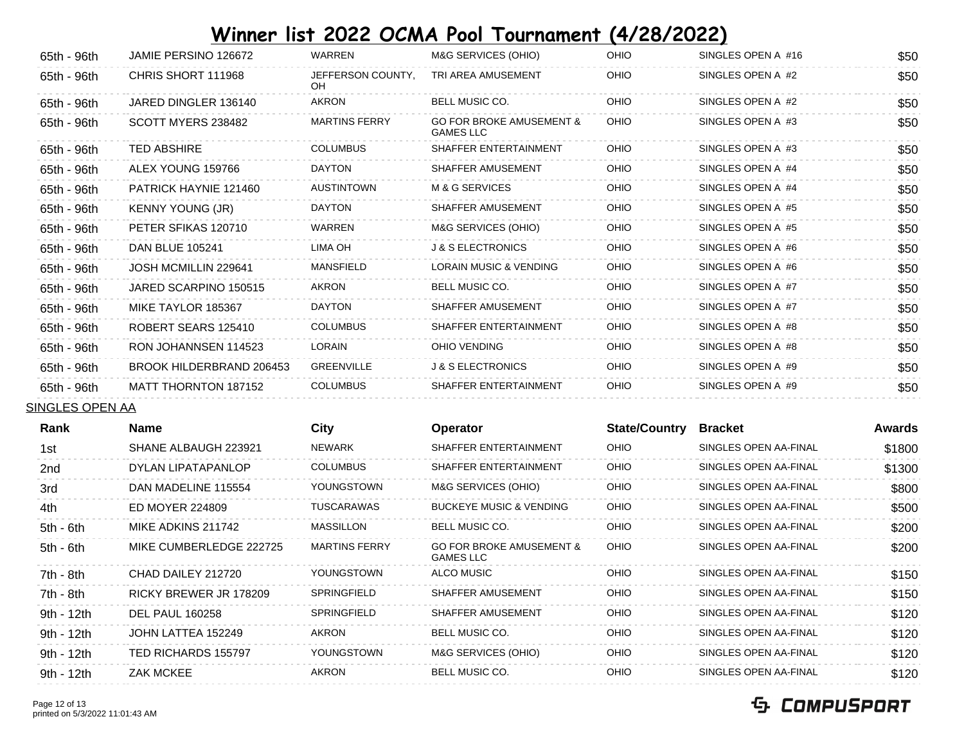| 65th - 96th     | JAMIE PERSINO 126672     | WARREN                  | M&G SERVICES (OHIO)                                     | OHIO                 | SINGLES OPEN A #16    | \$50   |
|-----------------|--------------------------|-------------------------|---------------------------------------------------------|----------------------|-----------------------|--------|
| 65th - 96th     | CHRIS SHORT 111968       | JEFFERSON COUNTY,<br>OH | TRI AREA AMUSEMENT                                      | OHIO                 | SINGLES OPEN A #2     | \$50   |
| 65th - 96th     | JARED DINGLER 136140     | <b>AKRON</b>            | BELL MUSIC CO.                                          | OHIO                 | SINGLES OPEN A #2     | \$50   |
| 65th - 96th     | SCOTT MYERS 238482       | <b>MARTINS FERRY</b>    | <b>GO FOR BROKE AMUSEMENT &amp;</b><br><b>GAMES LLC</b> | OHIO                 | SINGLES OPEN A #3     | \$50   |
| 65th - 96th     | <b>TED ABSHIRE</b>       | <b>COLUMBUS</b>         | SHAFFER ENTERTAINMENT                                   | OHIO                 | SINGLES OPEN A #3     | \$50   |
| 65th - 96th     | ALEX YOUNG 159766        | <b>DAYTON</b>           | SHAFFER AMUSEMENT                                       | OHIO                 | SINGLES OPEN A #4     | \$50   |
| 65th - 96th     | PATRICK HAYNIE 121460    | <b>AUSTINTOWN</b>       | M & G SERVICES                                          | OHIO                 | SINGLES OPEN A #4     | \$50   |
| 65th - 96th     | <b>KENNY YOUNG (JR)</b>  | <b>DAYTON</b>           | SHAFFER AMUSEMENT                                       | OHIO                 | SINGLES OPEN A #5     | \$50   |
| 65th - 96th     | PETER SFIKAS 120710      | WARREN                  | M&G SERVICES (OHIO)                                     | OHIO                 | SINGLES OPEN A #5     | \$50   |
| 65th - 96th     | <b>DAN BLUE 105241</b>   | LIMA OH                 | <b>J &amp; S ELECTRONICS</b>                            | OHIO                 | SINGLES OPEN A #6     | \$50   |
| 65th - 96th     | JOSH MCMILLIN 229641     | MANSFIELD               | LORAIN MUSIC & VENDING                                  | OHIO                 | SINGLES OPEN A #6     | \$50   |
| 65th - 96th     | JARED SCARPINO 150515    | AKRON                   | BELL MUSIC CO.                                          | OHIO                 | SINGLES OPEN A #7     | \$50   |
| 65th - 96th     | MIKE TAYLOR 185367       | <b>DAYTON</b>           | SHAFFER AMUSEMENT                                       | OHIO                 | SINGLES OPEN A #7     | \$50   |
| 65th - 96th     | ROBERT SEARS 125410      | <b>COLUMBUS</b>         | SHAFFER ENTERTAINMENT                                   | OHIO                 | SINGLES OPEN A #8     | \$50   |
| 65th - 96th     | RON JOHANNSEN 114523     | LORAIN                  | OHIO VENDING                                            | OHIO                 | SINGLES OPEN A #8     | \$50   |
| 65th - 96th     | BROOK HILDERBRAND 206453 | <b>GREENVILLE</b>       | <b>J &amp; S ELECTRONICS</b>                            | OHIO                 | SINGLES OPEN A #9     | \$50   |
| 65th - 96th     | MATT THORNTON 187152     | <b>COLUMBUS</b>         | SHAFFER ENTERTAINMENT                                   | OHIO                 | SINGLES OPEN A #9     | \$50   |
| SINGLES OPEN AA |                          |                         |                                                         |                      |                       |        |
| Rank            | <b>Name</b>              | City                    | <b>Operator</b>                                         | <b>State/Country</b> | <b>Bracket</b>        | Awards |
| 1st             | SHANE ALBAUGH 223921     | <b>NEWARK</b>           | SHAFFER ENTERTAINMENT                                   | OHIO                 | SINGLES OPEN AA-FINAL | \$1800 |
| 2nd             | DYLAN LIPATAPANLOP       | <b>COLUMBUS</b>         | SHAFFER ENTERTAINMENT                                   | OHIO                 | SINGLES OPEN AA-FINAL | \$1300 |
| 3rd             | DAN MADELINE 115554      | YOUNGSTOWN              | M&G SERVICES (OHIO)                                     | OHIO                 | SINGLES OPEN AA-FINAL | \$800  |
| 4th             | <b>ED MOYER 224809</b>   | <b>TUSCARAWAS</b>       | <b>BUCKEYE MUSIC &amp; VENDING</b>                      | OHIO                 | SINGLES OPEN AA-FINAL | \$500  |
| 5th - 6th       | MIKE ADKINS 211742       | <b>MASSILLON</b>        | BELL MUSIC CO.                                          | OHIO                 | SINGLES OPEN AA-FINAL | \$200  |
| 5th - 6th       | MIKE CUMBERLEDGE 222725  | <b>MARTINS FERRY</b>    | <b>GO FOR BROKE AMUSEMENT &amp;</b><br><b>GAMES LLC</b> | OHIO                 | SINGLES OPEN AA-FINAL | \$200  |
| 7th - 8th       | CHAD DAILEY 212720       | YOUNGSTOWN              | <b>ALCO MUSIC</b>                                       | OHIO                 | SINGLES OPEN AA-FINAL | \$150  |
| 7th - 8th       | RICKY BREWER JR 178209   | SPRINGFIELD             | SHAFFER AMUSEMENT                                       | OHIO                 | SINGLES OPEN AA-FINAL | \$150  |
| 9th - 12th      | <b>DEL PAUL 160258</b>   | SPRINGFIELD             | SHAFFER AMUSEMENT                                       | OHIO                 | SINGLES OPEN AA-FINAL | \$120  |
| 9th - 12th      | JOHN LATTEA 152249       | AKRON                   | BELL MUSIC CO.                                          | OHIO                 | SINGLES OPEN AA-FINAL | \$120  |
| 9th - 12th      | TED RICHARDS 155797      | YOUNGSTOWN              | M&G SERVICES (OHIO)                                     | OHIO                 | SINGLES OPEN AA-FINAL | \$120  |
| 9th - 12th      | <b>ZAK MCKFF</b>         | <b>AKRON</b>            | <b>BELL MUSIC CO.</b>                                   | OHIO                 | SINGLES OPEN AA-FINAL | \$120  |

9th - 12th ZAK MCKEE AKRON BELL MUSIC CO. OHIO SINGLES OPEN AA-FINAL \$120